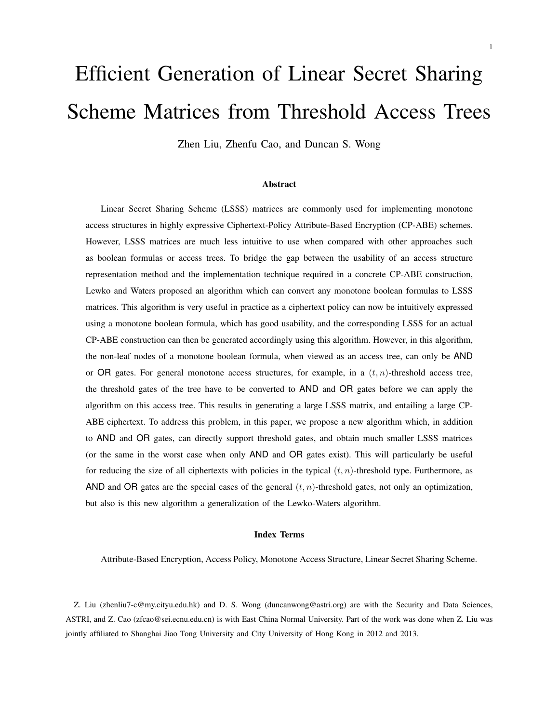# Efficient Generation of Linear Secret Sharing Scheme Matrices from Threshold Access Trees

Zhen Liu, Zhenfu Cao, and Duncan S. Wong

#### Abstract

Linear Secret Sharing Scheme (LSSS) matrices are commonly used for implementing monotone access structures in highly expressive Ciphertext-Policy Attribute-Based Encryption (CP-ABE) schemes. However, LSSS matrices are much less intuitive to use when compared with other approaches such as boolean formulas or access trees. To bridge the gap between the usability of an access structure representation method and the implementation technique required in a concrete CP-ABE construction, Lewko and Waters proposed an algorithm which can convert any monotone boolean formulas to LSSS matrices. This algorithm is very useful in practice as a ciphertext policy can now be intuitively expressed using a monotone boolean formula, which has good usability, and the corresponding LSSS for an actual CP-ABE construction can then be generated accordingly using this algorithm. However, in this algorithm, the non-leaf nodes of a monotone boolean formula, when viewed as an access tree, can only be AND or OR gates. For general monotone access structures, for example, in a  $(t, n)$ -threshold access tree, the threshold gates of the tree have to be converted to AND and OR gates before we can apply the algorithm on this access tree. This results in generating a large LSSS matrix, and entailing a large CP-ABE ciphertext. To address this problem, in this paper, we propose a new algorithm which, in addition to AND and OR gates, can directly support threshold gates, and obtain much smaller LSSS matrices (or the same in the worst case when only AND and OR gates exist). This will particularly be useful for reducing the size of all ciphertexts with policies in the typical  $(t, n)$ -threshold type. Furthermore, as AND and OR gates are the special cases of the general  $(t, n)$ -threshold gates, not only an optimization, but also is this new algorithm a generalization of the Lewko-Waters algorithm.

#### Index Terms

Attribute-Based Encryption, Access Policy, Monotone Access Structure, Linear Secret Sharing Scheme.

Z. Liu (zhenliu7-c@my.cityu.edu.hk) and D. S. Wong (duncanwong@astri.org) are with the Security and Data Sciences, ASTRI, and Z. Cao (zfcao@sei.ecnu.edu.cn) is with East China Normal University. Part of the work was done when Z. Liu was jointly affiliated to Shanghai Jiao Tong University and City University of Hong Kong in 2012 and 2013.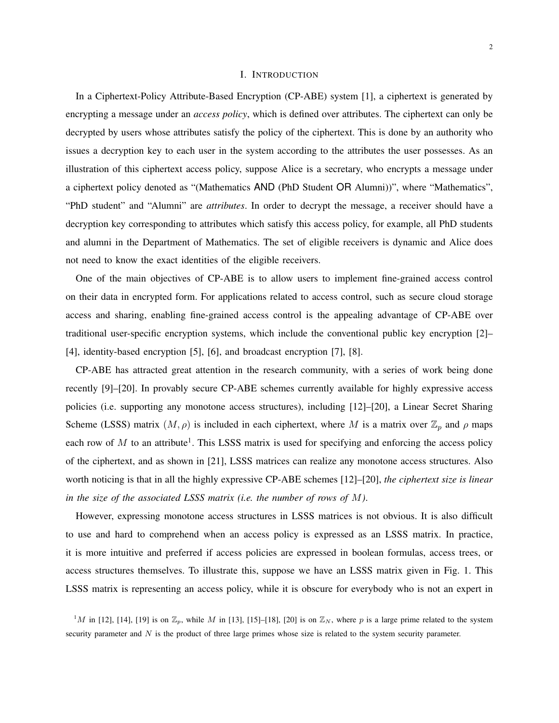#### I. INTRODUCTION

In a Ciphertext-Policy Attribute-Based Encryption (CP-ABE) system [1], a ciphertext is generated by encrypting a message under an *access policy*, which is defined over attributes. The ciphertext can only be decrypted by users whose attributes satisfy the policy of the ciphertext. This is done by an authority who issues a decryption key to each user in the system according to the attributes the user possesses. As an illustration of this ciphertext access policy, suppose Alice is a secretary, who encrypts a message under a ciphertext policy denoted as "(Mathematics AND (PhD Student OR Alumni))", where "Mathematics", "PhD student" and "Alumni" are *attributes*. In order to decrypt the message, a receiver should have a decryption key corresponding to attributes which satisfy this access policy, for example, all PhD students and alumni in the Department of Mathematics. The set of eligible receivers is dynamic and Alice does not need to know the exact identities of the eligible receivers.

One of the main objectives of CP-ABE is to allow users to implement fine-grained access control on their data in encrypted form. For applications related to access control, such as secure cloud storage access and sharing, enabling fine-grained access control is the appealing advantage of CP-ABE over traditional user-specific encryption systems, which include the conventional public key encryption [2]– [4], identity-based encryption [5], [6], and broadcast encryption [7], [8].

CP-ABE has attracted great attention in the research community, with a series of work being done recently [9]–[20]. In provably secure CP-ABE schemes currently available for highly expressive access policies (i.e. supporting any monotone access structures), including [12]–[20], a Linear Secret Sharing Scheme (LSSS) matrix  $(M, \rho)$  is included in each ciphertext, where M is a matrix over  $\mathbb{Z}_p$  and  $\rho$  maps each row of  $M$  to an attribute<sup>1</sup>. This LSSS matrix is used for specifying and enforcing the access policy of the ciphertext, and as shown in [21], LSSS matrices can realize any monotone access structures. Also worth noticing is that in all the highly expressive CP-ABE schemes [12]–[20], *the ciphertext size is linear in the size of the associated LSSS matrix (i.e. the number of rows of* M*)*.

However, expressing monotone access structures in LSSS matrices is not obvious. It is also difficult to use and hard to comprehend when an access policy is expressed as an LSSS matrix. In practice, it is more intuitive and preferred if access policies are expressed in boolean formulas, access trees, or access structures themselves. To illustrate this, suppose we have an LSSS matrix given in Fig. 1. This LSSS matrix is representing an access policy, while it is obscure for everybody who is not an expert in

<sup>1</sup>M in [12], [14], [19] is on  $\mathbb{Z}_p$ , while M in [13], [15]–[18], [20] is on  $\mathbb{Z}_N$ , where p is a large prime related to the system security parameter and  $N$  is the product of three large primes whose size is related to the system security parameter.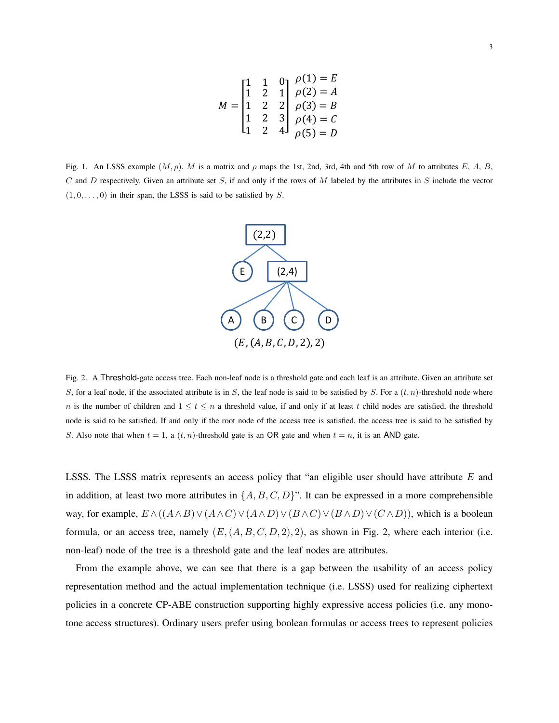$$
M = \begin{bmatrix} 1 & 1 & 0 & \rho(1) = E \\ 1 & 2 & 1 & \rho(2) = A \\ 1 & 2 & 2 & \rho(3) = B \\ 1 & 2 & 3 & \rho(4) = C \\ 1 & 2 & 4 & \rho(5) = D \end{bmatrix}
$$

Fig. 1. An LSSS example  $(M, \rho)$ . M is a matrix and  $\rho$  maps the 1st, 2nd, 3rd, 4th and 5th row of M to attributes E, A, B, C and D respectively. Given an attribute set S, if and only if the rows of M labeled by the attributes in S include the vector  $(1, 0, \ldots, 0)$  in their span, the LSSS is said to be satisfied by S.



Fig. 2. A Threshold-gate access tree. Each non-leaf node is a threshold gate and each leaf is an attribute. Given an attribute set S, for a leaf node, if the associated attribute is in S, the leaf node is said to be satisfied by S. For a  $(t, n)$ -threshold node where n is the number of children and  $1 \le t \le n$  a threshold value, if and only if at least t child nodes are satisfied, the threshold node is said to be satisfied. If and only if the root node of the access tree is satisfied, the access tree is said to be satisfied by S. Also note that when  $t = 1$ , a  $(t, n)$ -threshold gate is an OR gate and when  $t = n$ , it is an AND gate.

LSSS. The LSSS matrix represents an access policy that "an eligible user should have attribute  $E$  and in addition, at least two more attributes in  $\{A, B, C, D\}$ ". It can be expressed in a more comprehensible way, for example,  $E \wedge ((A \wedge B) \vee (A \wedge C) \vee (A \wedge D) \vee (B \wedge C) \vee (B \wedge D) \vee (C \wedge D))$ , which is a boolean formula, or an access tree, namely  $(E,(A, B, C, D, 2), 2)$ , as shown in Fig. 2, where each interior (i.e. non-leaf) node of the tree is a threshold gate and the leaf nodes are attributes.

From the example above, we can see that there is a gap between the usability of an access policy representation method and the actual implementation technique (i.e. LSSS) used for realizing ciphertext policies in a concrete CP-ABE construction supporting highly expressive access policies (i.e. any monotone access structures). Ordinary users prefer using boolean formulas or access trees to represent policies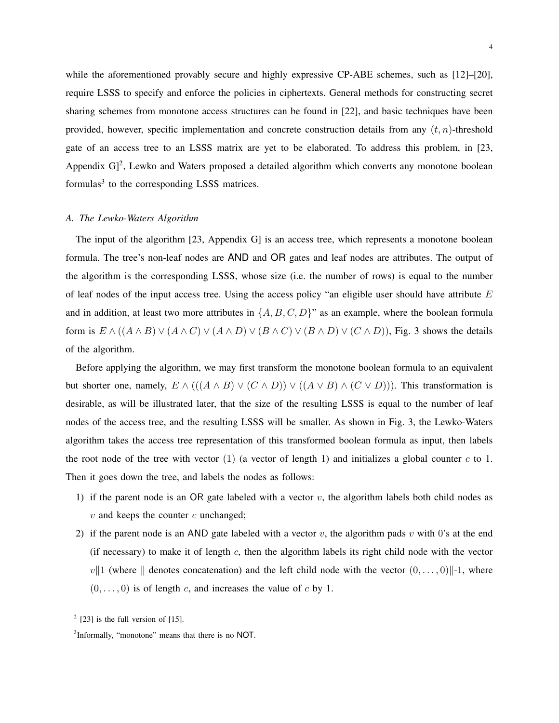while the aforementioned provably secure and highly expressive CP-ABE schemes, such as [12]–[20], require LSSS to specify and enforce the policies in ciphertexts. General methods for constructing secret sharing schemes from monotone access structures can be found in [22], and basic techniques have been provided, however, specific implementation and concrete construction details from any  $(t, n)$ -threshold gate of an access tree to an LSSS matrix are yet to be elaborated. To address this problem, in [23, Appendix G]<sup>2</sup>, Lewko and Waters proposed a detailed algorithm which converts any monotone boolean formulas<sup>3</sup> to the corresponding LSSS matrices.

## *A. The Lewko-Waters Algorithm*

The input of the algorithm [23, Appendix G] is an access tree, which represents a monotone boolean formula. The tree's non-leaf nodes are AND and OR gates and leaf nodes are attributes. The output of the algorithm is the corresponding LSSS, whose size (i.e. the number of rows) is equal to the number of leaf nodes of the input access tree. Using the access policy "an eligible user should have attribute  $E$ and in addition, at least two more attributes in  $\{A, B, C, D\}$ " as an example, where the boolean formula form is  $E \wedge ((A \wedge B) \vee (A \wedge C) \vee (A \wedge D) \vee (B \wedge C) \vee (B \wedge D) \vee (C \wedge D))$ , Fig. 3 shows the details of the algorithm.

Before applying the algorithm, we may first transform the monotone boolean formula to an equivalent but shorter one, namely,  $E \wedge (((A \wedge B) \vee (C \wedge D)) \vee ((A \vee B) \wedge (C \vee D)))$ . This transformation is desirable, as will be illustrated later, that the size of the resulting LSSS is equal to the number of leaf nodes of the access tree, and the resulting LSSS will be smaller. As shown in Fig. 3, the Lewko-Waters algorithm takes the access tree representation of this transformed boolean formula as input, then labels the root node of the tree with vector  $(1)$  (a vector of length 1) and initializes a global counter c to 1. Then it goes down the tree, and labels the nodes as follows:

- 1) if the parent node is an OR gate labeled with a vector  $v$ , the algorithm labels both child nodes as  $v$  and keeps the counter  $c$  unchanged;
- 2) if the parent node is an AND gate labeled with a vector v, the algorithm pads v with 0's at the end (if necessary) to make it of length  $c$ , then the algorithm labels its right child node with the vector  $v\|1$  (where  $\|$  denotes concatenation) and the left child node with the vector  $(0, \ldots, 0)\|$ -1, where  $(0, \ldots, 0)$  is of length c, and increases the value of c by 1.

 $2$  [23] is the full version of [15].

<sup>&</sup>lt;sup>3</sup>Informally, "monotone" means that there is no NOT.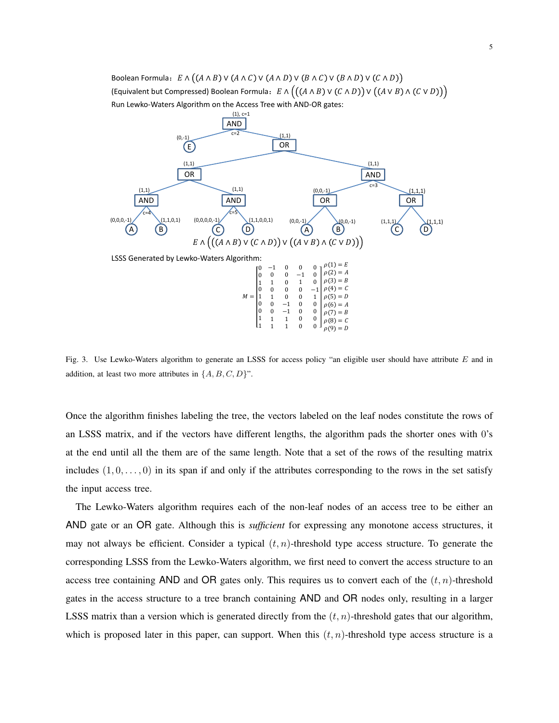(Equivalent but Compressed) Boolean Formula:  $E \wedge ((A \wedge B) \vee (C \wedge D)) \vee ((A \vee B) \wedge (C \vee D)))$ Boolean Formula:  $E \wedge ((A \wedge B) \vee (A \wedge C) \vee (A \wedge D) \vee (B \wedge C) \vee (B \wedge D))$ Run Lewko‐Waters Algorithm on the Access Tree with AND‐OR gates:



Fig. 3. Use Lewko-Waters algorithm to generate an LSSS for access policy "an eligible user should have attribute E and in addition, at least two more attributes in  $\{A, B, C, D\}$ ".

Once the algorithm finishes labeling the tree, the vectors labeled on the leaf nodes constitute the rows of an LSSS matrix, and if the vectors have different lengths, the algorithm pads the shorter ones with 0's at the end until all the them are of the same length. Note that a set of the rows of the resulting matrix includes  $(1, 0, \ldots, 0)$  in its span if and only if the attributes corresponding to the rows in the set satisfy the input access tree.

The Lewko-Waters algorithm requires each of the non-leaf nodes of an access tree to be either an AND gate or an OR gate. Although this is *sufficient* for expressing any monotone access structures, it may not always be efficient. Consider a typical  $(t, n)$ -threshold type access structure. To generate the corresponding LSSS from the Lewko-Waters algorithm, we first need to convert the access structure to an access tree containing AND and OR gates only. This requires us to convert each of the  $(t, n)$ -threshold gates in the access structure to a tree branch containing AND and OR nodes only, resulting in a larger LSSS matrix than a version which is generated directly from the  $(t, n)$ -threshold gates that our algorithm, which is proposed later in this paper, can support. When this  $(t, n)$ -threshold type access structure is a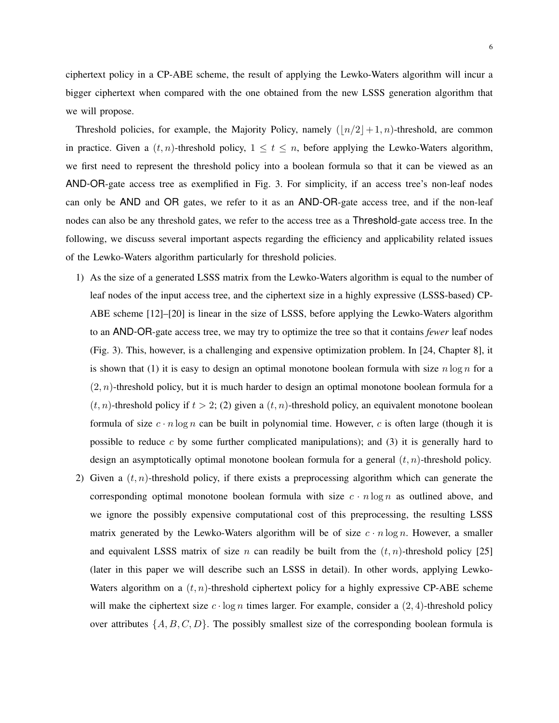ciphertext policy in a CP-ABE scheme, the result of applying the Lewko-Waters algorithm will incur a bigger ciphertext when compared with the one obtained from the new LSSS generation algorithm that we will propose.

Threshold policies, for example, the Majority Policy, namely  $(|n/2|+ 1, n)$ -threshold, are common in practice. Given a  $(t, n)$ -threshold policy,  $1 \le t \le n$ , before applying the Lewko-Waters algorithm, we first need to represent the threshold policy into a boolean formula so that it can be viewed as an AND-OR-gate access tree as exemplified in Fig. 3. For simplicity, if an access tree's non-leaf nodes can only be AND and OR gates, we refer to it as an AND-OR-gate access tree, and if the non-leaf nodes can also be any threshold gates, we refer to the access tree as a Threshold-gate access tree. In the following, we discuss several important aspects regarding the efficiency and applicability related issues of the Lewko-Waters algorithm particularly for threshold policies.

- 1) As the size of a generated LSSS matrix from the Lewko-Waters algorithm is equal to the number of leaf nodes of the input access tree, and the ciphertext size in a highly expressive (LSSS-based) CP-ABE scheme [12]–[20] is linear in the size of LSSS, before applying the Lewko-Waters algorithm to an AND-OR-gate access tree, we may try to optimize the tree so that it contains *fewer* leaf nodes (Fig. 3). This, however, is a challenging and expensive optimization problem. In [24, Chapter 8], it is shown that (1) it is easy to design an optimal monotone boolean formula with size  $n \log n$  for a  $(2, n)$ -threshold policy, but it is much harder to design an optimal monotone boolean formula for a  $(t, n)$ -threshold policy if  $t > 2$ ; (2) given a  $(t, n)$ -threshold policy, an equivalent monotone boolean formula of size  $c \cdot n \log n$  can be built in polynomial time. However, c is often large (though it is possible to reduce  $c$  by some further complicated manipulations); and (3) it is generally hard to design an asymptotically optimal monotone boolean formula for a general  $(t, n)$ -threshold policy.
- 2) Given a  $(t, n)$ -threshold policy, if there exists a preprocessing algorithm which can generate the corresponding optimal monotone boolean formula with size  $c \cdot n \log n$  as outlined above, and we ignore the possibly expensive computational cost of this preprocessing, the resulting LSSS matrix generated by the Lewko-Waters algorithm will be of size  $c \cdot n \log n$ . However, a smaller and equivalent LSSS matrix of size n can readily be built from the  $(t, n)$ -threshold policy [25] (later in this paper we will describe such an LSSS in detail). In other words, applying Lewko-Waters algorithm on a  $(t, n)$ -threshold ciphertext policy for a highly expressive CP-ABE scheme will make the ciphertext size  $c \cdot \log n$  times larger. For example, consider a (2, 4)-threshold policy over attributes  $\{A, B, C, D\}$ . The possibly smallest size of the corresponding boolean formula is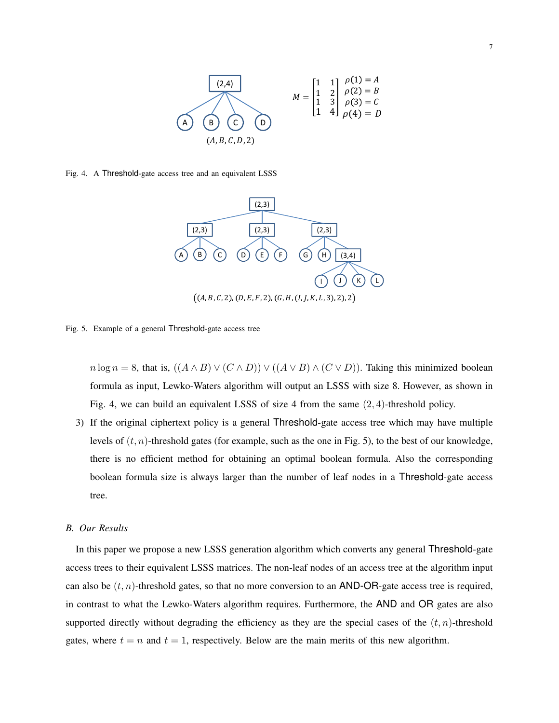

Fig. 4. A Threshold-gate access tree and an equivalent LSSS



Fig. 5. Example of a general Threshold-gate access tree

 $n \log n = 8$ , that is,  $((A \wedge B) \vee (C \wedge D)) \vee ((A \vee B) \wedge (C \vee D))$ . Taking this minimized boolean formula as input, Lewko-Waters algorithm will output an LSSS with size 8. However, as shown in Fig. 4, we can build an equivalent LSSS of size 4 from the same (2, 4)-threshold policy.

3) If the original ciphertext policy is a general Threshold-gate access tree which may have multiple levels of  $(t, n)$ -threshold gates (for example, such as the one in Fig. 5), to the best of our knowledge, there is no efficient method for obtaining an optimal boolean formula. Also the corresponding boolean formula size is always larger than the number of leaf nodes in a Threshold-gate access tree.

# *B. Our Results*

In this paper we propose a new LSSS generation algorithm which converts any general Threshold-gate access trees to their equivalent LSSS matrices. The non-leaf nodes of an access tree at the algorithm input can also be  $(t, n)$ -threshold gates, so that no more conversion to an AND-OR-gate access tree is required, in contrast to what the Lewko-Waters algorithm requires. Furthermore, the AND and OR gates are also supported directly without degrading the efficiency as they are the special cases of the  $(t, n)$ -threshold gates, where  $t = n$  and  $t = 1$ , respectively. Below are the main merits of this new algorithm.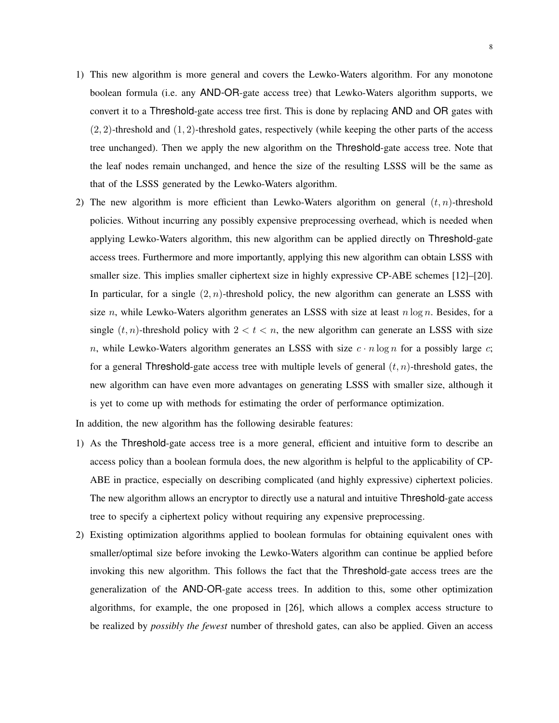- 1) This new algorithm is more general and covers the Lewko-Waters algorithm. For any monotone boolean formula (i.e. any AND-OR-gate access tree) that Lewko-Waters algorithm supports, we convert it to a Threshold-gate access tree first. This is done by replacing AND and OR gates with  $(2, 2)$ -threshold and  $(1, 2)$ -threshold gates, respectively (while keeping the other parts of the access tree unchanged). Then we apply the new algorithm on the Threshold-gate access tree. Note that the leaf nodes remain unchanged, and hence the size of the resulting LSSS will be the same as that of the LSSS generated by the Lewko-Waters algorithm.
- 2) The new algorithm is more efficient than Lewko-Waters algorithm on general  $(t, n)$ -threshold policies. Without incurring any possibly expensive preprocessing overhead, which is needed when applying Lewko-Waters algorithm, this new algorithm can be applied directly on Threshold-gate access trees. Furthermore and more importantly, applying this new algorithm can obtain LSSS with smaller size. This implies smaller ciphertext size in highly expressive CP-ABE schemes [12]–[20]. In particular, for a single  $(2, n)$ -threshold policy, the new algorithm can generate an LSSS with size n, while Lewko-Waters algorithm generates an LSSS with size at least  $n \log n$ . Besides, for a single  $(t, n)$ -threshold policy with  $2 < t < n$ , the new algorithm can generate an LSSS with size n, while Lewko-Waters algorithm generates an LSSS with size  $c \cdot n \log n$  for a possibly large c; for a general Threshold-gate access tree with multiple levels of general  $(t, n)$ -threshold gates, the new algorithm can have even more advantages on generating LSSS with smaller size, although it is yet to come up with methods for estimating the order of performance optimization.

In addition, the new algorithm has the following desirable features:

- 1) As the Threshold-gate access tree is a more general, efficient and intuitive form to describe an access policy than a boolean formula does, the new algorithm is helpful to the applicability of CP-ABE in practice, especially on describing complicated (and highly expressive) ciphertext policies. The new algorithm allows an encryptor to directly use a natural and intuitive Threshold-gate access tree to specify a ciphertext policy without requiring any expensive preprocessing.
- 2) Existing optimization algorithms applied to boolean formulas for obtaining equivalent ones with smaller/optimal size before invoking the Lewko-Waters algorithm can continue be applied before invoking this new algorithm. This follows the fact that the Threshold-gate access trees are the generalization of the AND-OR-gate access trees. In addition to this, some other optimization algorithms, for example, the one proposed in [26], which allows a complex access structure to be realized by *possibly the fewest* number of threshold gates, can also be applied. Given an access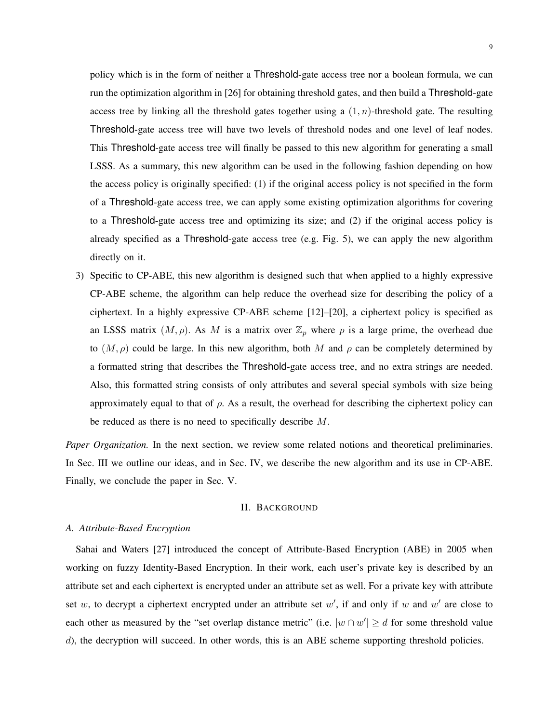policy which is in the form of neither a Threshold-gate access tree nor a boolean formula, we can run the optimization algorithm in [26] for obtaining threshold gates, and then build a Threshold-gate access tree by linking all the threshold gates together using a  $(1, n)$ -threshold gate. The resulting Threshold-gate access tree will have two levels of threshold nodes and one level of leaf nodes. This Threshold-gate access tree will finally be passed to this new algorithm for generating a small LSSS. As a summary, this new algorithm can be used in the following fashion depending on how the access policy is originally specified: (1) if the original access policy is not specified in the form of a Threshold-gate access tree, we can apply some existing optimization algorithms for covering to a Threshold-gate access tree and optimizing its size; and (2) if the original access policy is already specified as a Threshold-gate access tree (e.g. Fig. 5), we can apply the new algorithm directly on it.

3) Specific to CP-ABE, this new algorithm is designed such that when applied to a highly expressive CP-ABE scheme, the algorithm can help reduce the overhead size for describing the policy of a ciphertext. In a highly expressive CP-ABE scheme [12]–[20], a ciphertext policy is specified as an LSSS matrix  $(M, \rho)$ . As M is a matrix over  $\mathbb{Z}_p$  where p is a large prime, the overhead due to  $(M, \rho)$  could be large. In this new algorithm, both M and  $\rho$  can be completely determined by a formatted string that describes the Threshold-gate access tree, and no extra strings are needed. Also, this formatted string consists of only attributes and several special symbols with size being approximately equal to that of  $\rho$ . As a result, the overhead for describing the ciphertext policy can be reduced as there is no need to specifically describe M.

*Paper Organization*. In the next section, we review some related notions and theoretical preliminaries. In Sec. III we outline our ideas, and in Sec. IV, we describe the new algorithm and its use in CP-ABE. Finally, we conclude the paper in Sec. V.

# II. BACKGROUND

# *A. Attribute-Based Encryption*

Sahai and Waters [27] introduced the concept of Attribute-Based Encryption (ABE) in 2005 when working on fuzzy Identity-Based Encryption. In their work, each user's private key is described by an attribute set and each ciphertext is encrypted under an attribute set as well. For a private key with attribute set w, to decrypt a ciphertext encrypted under an attribute set w', if and only if w and w' are close to each other as measured by the "set overlap distance metric" (i.e.  $|w \cap w'| \ge d$  for some threshold value d), the decryption will succeed. In other words, this is an ABE scheme supporting threshold policies.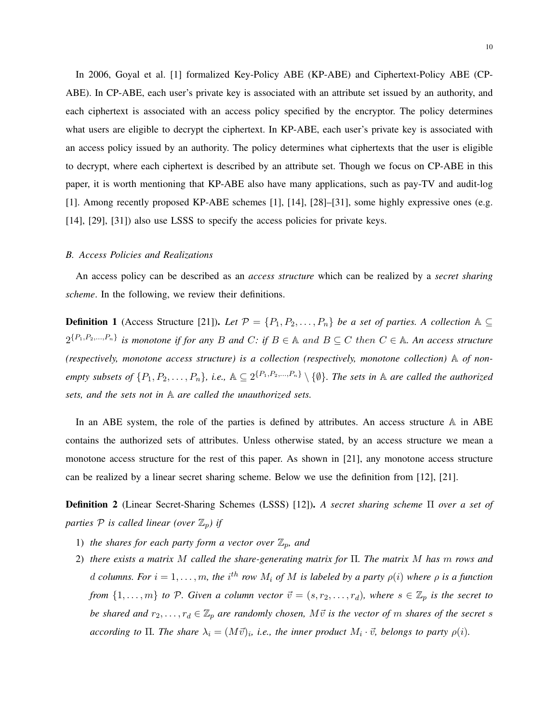In 2006, Goyal et al. [1] formalized Key-Policy ABE (KP-ABE) and Ciphertext-Policy ABE (CP-ABE). In CP-ABE, each user's private key is associated with an attribute set issued by an authority, and each ciphertext is associated with an access policy specified by the encryptor. The policy determines what users are eligible to decrypt the ciphertext. In KP-ABE, each user's private key is associated with an access policy issued by an authority. The policy determines what ciphertexts that the user is eligible to decrypt, where each ciphertext is described by an attribute set. Though we focus on CP-ABE in this paper, it is worth mentioning that KP-ABE also have many applications, such as pay-TV and audit-log [1]. Among recently proposed KP-ABE schemes [1], [14], [28]–[31], some highly expressive ones (e.g. [14], [29], [31]) also use LSSS to specify the access policies for private keys.

#### *B. Access Policies and Realizations*

An access policy can be described as an *access structure* which can be realized by a *secret sharing scheme*. In the following, we review their definitions.

**Definition 1** (Access Structure [21]). *Let*  $\mathcal{P} = \{P_1, P_2, \ldots, P_n\}$  *be a set of parties. A collection*  $\mathbb{A} \subseteq$  $2^{\{P_1, P_2, ..., P_n\}}$  is monotone if for any B and C: if  $B \in A$  and  $B \subseteq C$  then  $C \in A$ . An access structure *(respectively, monotone access structure) is a collection (respectively, monotone collection)* A *of nonempty subsets of*  $\{P_1, P_2, \ldots, P_n\}$ , i.e.,  $\mathbb{A} \subseteq 2^{\{P_1, P_2, \ldots, P_n\}} \setminus \{\emptyset\}$ . The sets in  $\mathbb{A}$  are called the authorized *sets, and the sets not in* A *are called the unauthorized sets.*

In an ABE system, the role of the parties is defined by attributes. An access structure A in ABE contains the authorized sets of attributes. Unless otherwise stated, by an access structure we mean a monotone access structure for the rest of this paper. As shown in [21], any monotone access structure can be realized by a linear secret sharing scheme. Below we use the definition from [12], [21].

Definition 2 (Linear Secret-Sharing Schemes (LSSS) [12]). *A secret sharing scheme* Π *over a set of parties*  $P$  *is called linear (over*  $\mathbb{Z}_p$ *) if* 

- 1) *the shares for each party form a vector over*  $\mathbb{Z}_p$ *, and*
- 2) *there exists a matrix* M *called the share-generating matrix for* Π*. The matrix* M *has* m *rows and* d columns. For  $i = 1, \ldots, m$ , the  $i^{th}$  row  $M_i$  of  $M$  is labeled by a party  $\rho(i)$  where  $\rho$  is a function *from*  $\{1,\ldots,m\}$  *to* P. Given a column vector  $\vec{v} = (s, r_2, \ldots, r_d)$ *, where*  $s \in \mathbb{Z}_p$  *is the secret to be shared and*  $r_2, \ldots, r_d \in \mathbb{Z}_p$  *are randomly chosen,*  $M\vec{v}$  *is the vector of* m *shares of the secret* s *according to*  $\Pi$ *. The share*  $\lambda_i = (M\vec{v})_i$ *, i.e., the inner product*  $M_i \cdot \vec{v}$ *, belongs to party*  $\rho(i)$ *.*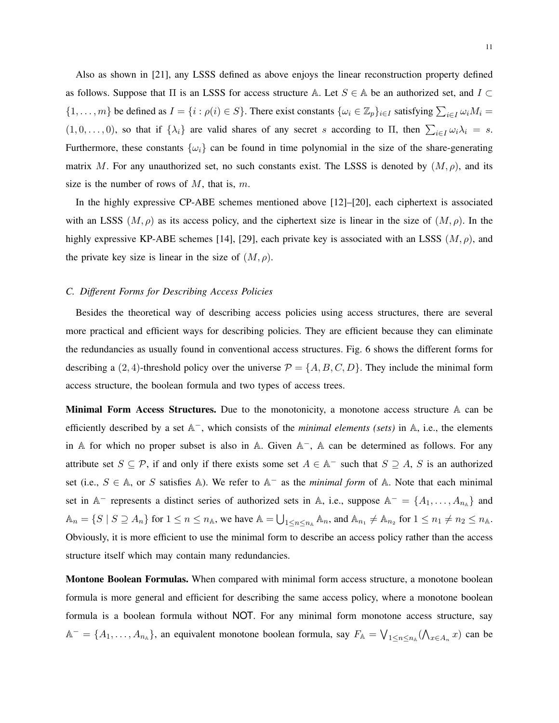Also as shown in [21], any LSSS defined as above enjoys the linear reconstruction property defined as follows. Suppose that  $\Pi$  is an LSSS for access structure A. Let  $S \in A$  be an authorized set, and  $I \subset$  $\{1,\ldots,m\}$  be defined as  $I = \{i : \rho(i) \in S\}$ . There exist constants  $\{\omega_i \in \mathbb{Z}_p\}_{i \in I}$  satisfying  $\sum_{i \in I} \omega_i M_i =$  $(1, 0, \ldots, 0)$ , so that if  $\{\lambda_i\}$  are valid shares of any secret s according to  $\Pi$ , then  $\sum_{i \in I} \omega_i \lambda_i = s$ . Furthermore, these constants  $\{\omega_i\}$  can be found in time polynomial in the size of the share-generating matrix M. For any unauthorized set, no such constants exist. The LSSS is denoted by  $(M, \rho)$ , and its size is the number of rows of  $M$ , that is,  $m$ .

In the highly expressive CP-ABE schemes mentioned above [12]–[20], each ciphertext is associated with an LSSS  $(M, \rho)$  as its access policy, and the ciphertext size is linear in the size of  $(M, \rho)$ . In the highly expressive KP-ABE schemes [14], [29], each private key is associated with an LSSS  $(M, \rho)$ , and the private key size is linear in the size of  $(M, \rho)$ .

#### *C. Different Forms for Describing Access Policies*

Besides the theoretical way of describing access policies using access structures, there are several more practical and efficient ways for describing policies. They are efficient because they can eliminate the redundancies as usually found in conventional access structures. Fig. 6 shows the different forms for describing a (2, 4)-threshold policy over the universe  $P = \{A, B, C, D\}$ . They include the minimal form access structure, the boolean formula and two types of access trees.

Minimal Form Access Structures. Due to the monotonicity, a monotone access structure A can be efficiently described by a set A<sup>−</sup>, which consists of the *minimal elements (sets)* in A, i.e., the elements in A for which no proper subset is also in A. Given  $A^-$ , A can be determined as follows. For any attribute set  $S \subseteq \mathcal{P}$ , if and only if there exists some set  $A \in \mathbb{A}^-$  such that  $S \supseteq A$ , S is an authorized set (i.e.,  $S \in A$ , or S satisfies A). We refer to  $A^-$  as the *minimal form* of A. Note that each minimal set in  $\mathbb{A}^-$  represents a distinct series of authorized sets in  $\mathbb{A}$ , i.e., suppose  $\mathbb{A}^- = \{A_1, \ldots, A_{n_{\mathbb{A}}}\}\$  and  $\mathbb{A}_n = \{ S \mid S \supseteq A_n \}$  for  $1 \le n \le n_\mathbb{A}$ , we have  $\mathbb{A} = \bigcup_{1 \le n \le n_\mathbb{A}} \mathbb{A}_n$ , and  $\mathbb{A}_{n_1} \neq \mathbb{A}_{n_2}$  for  $1 \le n_1 \ne n_2 \le n_\mathbb{A}$ . Obviously, it is more efficient to use the minimal form to describe an access policy rather than the access structure itself which may contain many redundancies.

Montone Boolean Formulas. When compared with minimal form access structure, a monotone boolean formula is more general and efficient for describing the same access policy, where a monotone boolean formula is a boolean formula without NOT. For any minimal form monotone access structure, say  $A^- = \{A_1, \ldots, A_{n_A}\}$ , an equivalent monotone boolean formula, say  $F_A = \bigvee_{1 \le n \le n_A} (\bigwedge_{x \in A_n} x)$  can be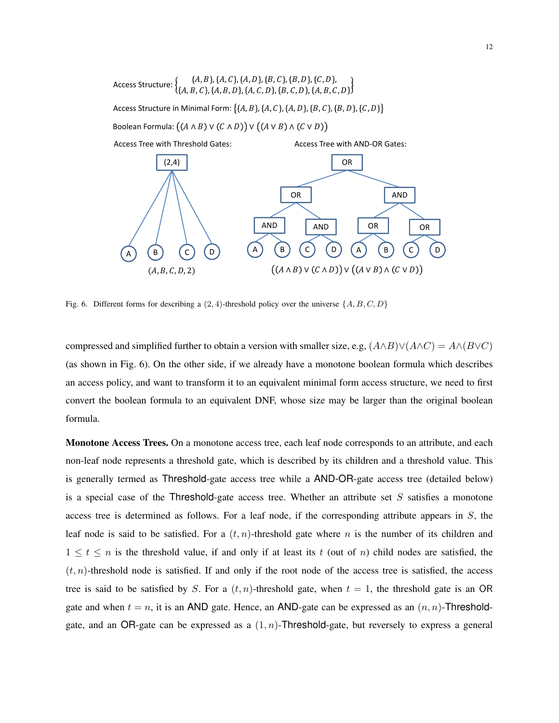

Fig. 6. Different forms for describing a  $(2, 4)$ -threshold policy over the universe  $\{A, B, C, D\}$ 

compressed and simplified further to obtain a version with smaller size, e.g,  $(A \wedge B) \vee (A \wedge C) = A \wedge (B \vee C)$ (as shown in Fig. 6). On the other side, if we already have a monotone boolean formula which describes an access policy, and want to transform it to an equivalent minimal form access structure, we need to first convert the boolean formula to an equivalent DNF, whose size may be larger than the original boolean formula.

Monotone Access Trees. On a monotone access tree, each leaf node corresponds to an attribute, and each non-leaf node represents a threshold gate, which is described by its children and a threshold value. This is generally termed as Threshold-gate access tree while a AND-OR-gate access tree (detailed below) is a special case of the Threshold-gate access tree. Whether an attribute set  $S$  satisfies a monotone access tree is determined as follows. For a leaf node, if the corresponding attribute appears in S, the leaf node is said to be satisfied. For a  $(t, n)$ -threshold gate where n is the number of its children and  $1 \leq t \leq n$  is the threshold value, if and only if at least its t (out of n) child nodes are satisfied, the  $(t, n)$ -threshold node is satisfied. If and only if the root node of the access tree is satisfied, the access tree is said to be satisfied by S. For a  $(t, n)$ -threshold gate, when  $t = 1$ , the threshold gate is an OR gate and when  $t = n$ , it is an AND gate. Hence, an AND-gate can be expressed as an  $(n, n)$ -Thresholdgate, and an OR-gate can be expressed as a  $(1, n)$ -Threshold-gate, but reversely to express a general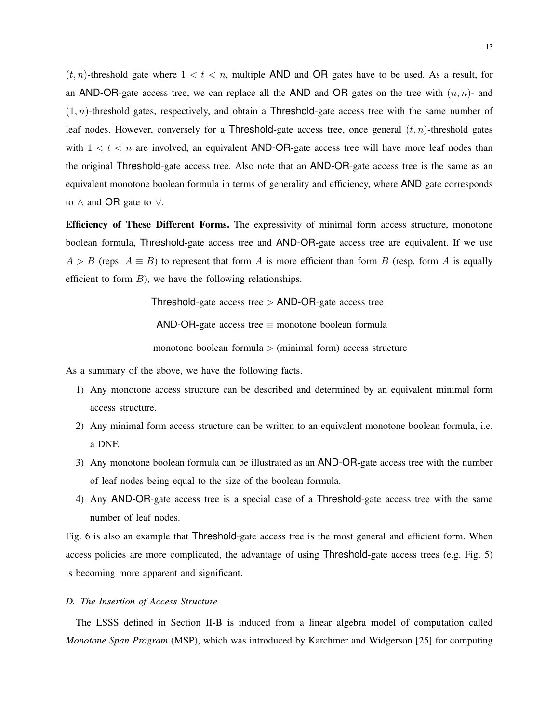$(t, n)$ -threshold gate where  $1 < t < n$ , multiple AND and OR gates have to be used. As a result, for an AND-OR-gate access tree, we can replace all the AND and OR gates on the tree with  $(n, n)$ - and  $(1, n)$ -threshold gates, respectively, and obtain a Threshold-gate access tree with the same number of leaf nodes. However, conversely for a Threshold-gate access tree, once general  $(t, n)$ -threshold gates with  $1 < t < n$  are involved, an equivalent AND-OR-gate access tree will have more leaf nodes than the original Threshold-gate access tree. Also note that an AND-OR-gate access tree is the same as an equivalent monotone boolean formula in terms of generality and efficiency, where AND gate corresponds to ∧ and OR gate to ∨.

Efficiency of These Different Forms. The expressivity of minimal form access structure, monotone boolean formula, Threshold-gate access tree and AND-OR-gate access tree are equivalent. If we use  $A > B$  (reps.  $A \equiv B$ ) to represent that form A is more efficient than form B (resp. form A is equally efficient to form  $B$ ), we have the following relationships.

Threshold-gate access tree  $>$  AND-OR-gate access tree

AND-OR-gate access tree  $\equiv$  monotone boolean formula

monotone boolean formula  $>$  (minimal form) access structure

As a summary of the above, we have the following facts.

- 1) Any monotone access structure can be described and determined by an equivalent minimal form access structure.
- 2) Any minimal form access structure can be written to an equivalent monotone boolean formula, i.e. a DNF.
- 3) Any monotone boolean formula can be illustrated as an AND-OR-gate access tree with the number of leaf nodes being equal to the size of the boolean formula.
- 4) Any AND-OR-gate access tree is a special case of a Threshold-gate access tree with the same number of leaf nodes.

Fig. 6 is also an example that Threshold-gate access tree is the most general and efficient form. When access policies are more complicated, the advantage of using Threshold-gate access trees (e.g. Fig. 5) is becoming more apparent and significant.

# *D. The Insertion of Access Structure*

The LSSS defined in Section II-B is induced from a linear algebra model of computation called *Monotone Span Program* (MSP), which was introduced by Karchmer and Widgerson [25] for computing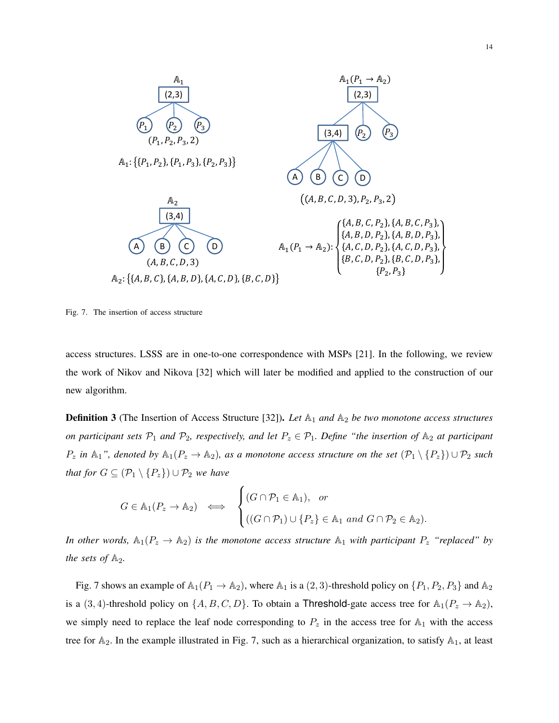

Fig. 7. The insertion of access structure

access structures. LSSS are in one-to-one correspondence with MSPs [21]. In the following, we review the work of Nikov and Nikova [32] which will later be modified and applied to the construction of our new algorithm.

**Definition 3** (The Insertion of Access Structure [32]). Let  $\mathbb{A}_1$  and  $\mathbb{A}_2$  be two monotone access structures *on participant sets*  $\mathcal{P}_1$  *and*  $\mathcal{P}_2$ *, respectively, and let*  $P_z \in \mathcal{P}_1$ *. Define "the insertion of*  $\mathbb{A}_2$  *at participant*  $P_z$  *in* A<sub>1</sub>", denoted by  $\mathbb{A}_1(P_z \to \mathbb{A}_2)$ , as a monotone access structure on the set  $(\mathcal{P}_1 \setminus \{P_z\}) \cup \mathcal{P}_2$  such *that for*  $G \subseteq (\mathcal{P}_1 \setminus \{P_z\}) \cup \mathcal{P}_2$  *we have* 

$$
G \in \mathbb{A}_1(P_z \to \mathbb{A}_2) \iff \begin{cases} (G \cap \mathcal{P}_1 \in \mathbb{A}_1), & \text{or} \\ ((G \cap \mathcal{P}_1) \cup \{P_z\} \in \mathbb{A}_1 \text{ and } G \cap \mathcal{P}_2 \in \mathbb{A}_2). \end{cases}
$$

*In other words,*  $\mathbb{A}_1(P_z \to \mathbb{A}_2)$  *is the monotone access structure*  $\mathbb{A}_1$  *with participant*  $P_z$  *"replaced" by the sets of*  $\mathbb{A}_2$ *.* 

Fig. 7 shows an example of  $\mathbb{A}_1(P_1 \to \mathbb{A}_2)$ , where  $\mathbb{A}_1$  is a  $(2, 3)$ -threshold policy on  $\{P_1, P_2, P_3\}$  and  $\mathbb{A}_2$ is a (3, 4)-threshold policy on  $\{A, B, C, D\}$ . To obtain a Threshold-gate access tree for  $\mathbb{A}_1(P_z \to \mathbb{A}_2)$ , we simply need to replace the leaf node corresponding to  $P_z$  in the access tree for  $\mathbb{A}_1$  with the access tree for  $A_2$ . In the example illustrated in Fig. 7, such as a hierarchical organization, to satisfy  $A_1$ , at least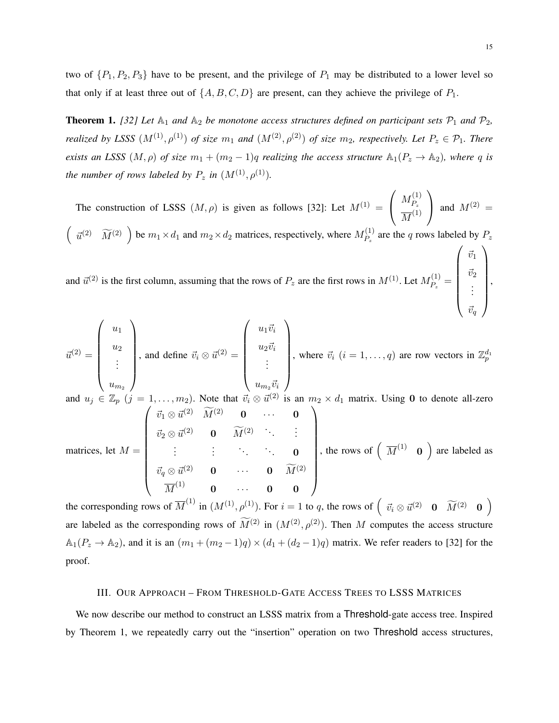two of  $\{P_1, P_2, P_3\}$  have to be present, and the privilege of  $P_1$  may be distributed to a lower level so that only if at least three out of  $\{A, B, C, D\}$  are present, can they achieve the privilege of  $P_1$ .

**Theorem 1.** [32] Let  $\mathbb{A}_1$  and  $\mathbb{A}_2$  be monotone access structures defined on participant sets  $\mathcal{P}_1$  and  $\mathcal{P}_2$ , *realized by LSSS*  $(M^{(1)}, \rho^{(1)})$  *of size*  $m_1$  *and*  $(M^{(2)}, \rho^{(2)})$  *of size*  $m_2$ *, respectively. Let*  $P_z \in \mathcal{P}_1$ *. There exists an LSSS*  $(M, \rho)$  *of size*  $m_1 + (m_2 - 1)q$  *realizing the access structure*  $\mathbb{A}_1(P_z \to \mathbb{A}_2)$ *, where* q *is the number of rows labeled by*  $P_z$  *in*  $(M^{(1)}, \rho^{(1)})$ *.* 

The construction of LSSS  $(M, \rho)$  is given as follows [32]: Let  $M^{(1)} =$  $\sqrt{ }$  $\mathcal{L}$  $M_P^{(1)}$  $P_z$  $\overline{M}^{(1)}$  $\setminus$ and  $M^{(2)} =$  $\left(\begin{array}{cc} \vec{u}^{(2)} & \widetilde{M}^{(2)} \end{array}\right)$  be  $m_1 \times d_1$  and  $m_2 \times d_2$  matrices, respectively, where  $M_{P_z}^{(1)}$  $P_z^{(1)}$  are the q rows labeled by  $P_z$ 

and  $\vec{u}^{(2)}$  is the first column, assuming that the rows of  $P_z$  are the first rows in  $M^{(1)}$ . Let  $M_{P_z}^{(1)}$  $P_{z}^{(1)} =$   $\vec{v}_2$ . . .  $\vec{v}_q$  $\begin{array}{c} \hline \end{array}$ ,

$$
\vec{u}^{(2)} = \begin{pmatrix} u_1 \\ u_2 \\ \vdots \\ u_{m_2} \end{pmatrix}, \text{ and define } \vec{v}_i \otimes \vec{u}^{(2)} = \begin{pmatrix} u_1 \vec{v}_i \\ u_2 \vec{v}_i \\ \vdots \\ u_{m_2} \vec{v}_i \end{pmatrix}, \text{ where } \vec{v}_i \ (i = 1, \dots, q) \text{ are row vectors in } \mathbb{Z}_p^{d_1}
$$
  
and  $u_j \in \mathbb{Z}_p$   $(j = 1, \dots, m_2)$ . Note that  $\vec{v}_i \otimes \vec{u}^{(2)}$  is an  $m_2 \times d_1$  matrix. Using **0** to denote all-zero  $\begin{pmatrix} \vec{v}_1 \otimes \vec{u}^{(2)} & \vec{M}^{(2)} & \vec{M}^{(2)} & \vec{M}^{(2)} & \vec{M}^{(2)} & \vec{M}^{(2)} & \vec{M}^{(2)} & \vec{M}^{(2)} & \vec{M}^{(2)} & \vec{M}^{(2)} & \vec{M}^{(2)} & \vec{M}^{(2)} & \vec{M}^{(2)} & \vec{M}^{(2)} & \vec{M}^{(2)} & \vec{M}^{(2)} & \vec{M}^{(2)} & \vec{M}^{(2)} & \vec{M}^{(2)} & \vec{M}^{(2)} & \vec{M}^{(2)} & \vec{M}^{(2)} & \vec{M}^{(2)} & \vec{M}^{(2)} & \vec{M}^{(2)} & \vec{M}^{(2)} & \vec{M}^{(2)} & \vec{M}^{(2)} & \vec{M}^{(2)} & \vec{M}^{(2)} & \vec{M}^{(2)} & \vec{M}^{(2)} & \vec{M}^{(2)} & \vec{M}^{(2)} & \vec{M}^{(2)} & \vec{M}^{(2)} & \vec{M}^{(2)} & \vec{M}^{(2)} & \vec{M}^{(2)} & \vec{M}^{(2)} & \vec{M}^{(2)} & \vec{M}^{(2)} & \vec{M}^{(2)} & \vec{M}^{(2)} & \vec{M}^{(2)} & \vec{M}^{(2)} & \vec{M}^{(2)} & \vec{M}^{(2)} & \vec{M}^{(2)} & \vec{M}$ 

matrices, let  $M =$  $\left( \begin{array}{cccc} \vec{v}_1 \otimes \vec{u}^{(2)} & \widetilde{M}^{(2)} & \mathbf{0} & \cdots & \mathbf{0} \end{array} \right)$   $\vec{v}_2 \otimes \vec{u}^{(2)}$  **0**  $\widetilde{M}^{(2)}$   $\therefore$  :  $\vdots$  .  $\vdots$  .  $\vdots$  .  $\vdots$  .  $\vdots$  . 0  $\vec{v}_q \otimes \vec{u}^{(2)}$  0 · · · 0  $\widetilde{M}^{(2)}$  $\overline{M}^{(1)}$  0  $\cdots$  0 0  $\begin{array}{c} \hline \end{array}$ , the rows of  $\left(\overline{M}^{(1)}\ 0\right)$  are labeled as

the corresponding rows of  $\overline{M}^{(1)}$  in  $(M^{(1)}, \rho^{(1)})$ . For  $i = 1$  to q, the rows of  $\begin{pmatrix} \vec{v}_i \otimes \vec{u}^{(2)} & \mathbf{0} & \widetilde{M}^{(2)} & \mathbf{0} \end{pmatrix}$ are labeled as the corresponding rows of  $\widetilde{M}^{(2)}$  in  $(M^{(2)}, \rho^{(2)})$ . Then M computes the access structure  $\mathbb{A}_1(P_z \to \mathbb{A}_2)$ , and it is an  $(m_1 + (m_2 - 1)q) \times (d_1 + (d_2 - 1)q)$  matrix. We refer readers to [32] for the proof.

# III. OUR APPROACH – FROM THRESHOLD-GATE ACCESS TREES TO LSSS MATRICES

We now describe our method to construct an LSSS matrix from a Threshold-gate access tree. Inspired by Theorem 1, we repeatedly carry out the "insertion" operation on two Threshold access structures,

 $\sqrt{\vec{u}}$ 

 $\vec{v}_1$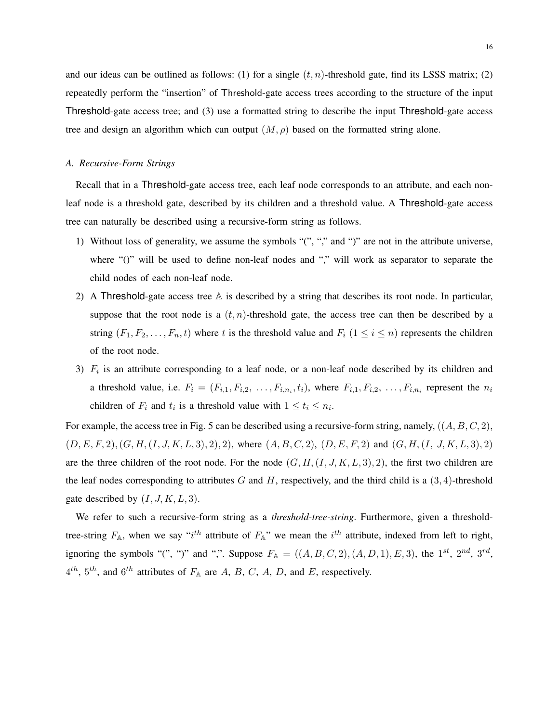and our ideas can be outlined as follows: (1) for a single  $(t, n)$ -threshold gate, find its LSSS matrix; (2) repeatedly perform the "insertion" of Threshold-gate access trees according to the structure of the input Threshold-gate access tree; and (3) use a formatted string to describe the input Threshold-gate access tree and design an algorithm which can output  $(M, \rho)$  based on the formatted string alone.

#### *A. Recursive-Form Strings*

Recall that in a Threshold-gate access tree, each leaf node corresponds to an attribute, and each nonleaf node is a threshold gate, described by its children and a threshold value. A Threshold-gate access tree can naturally be described using a recursive-form string as follows.

- 1) Without loss of generality, we assume the symbols "(", "," and ")" are not in the attribute universe, where "()" will be used to define non-leaf nodes and "," will work as separator to separate the child nodes of each non-leaf node.
- 2) A Threshold-gate access tree A is described by a string that describes its root node. In particular, suppose that the root node is a  $(t, n)$ -threshold gate, the access tree can then be described by a string  $(F_1, F_2, \ldots, F_n, t)$  where t is the threshold value and  $F_i$   $(1 \le i \le n)$  represents the children of the root node.
- 3)  $F_i$  is an attribute corresponding to a leaf node, or a non-leaf node described by its children and a threshold value, i.e.  $F_i = (F_{i,1}, F_{i,2}, \ldots, F_{i,n_i}, t_i)$ , where  $F_{i,1}, F_{i,2}, \ldots, F_{i,n_i}$  represent the  $n_i$ children of  $F_i$  and  $t_i$  is a threshold value with  $1 \le t_i \le n_i$ .

For example, the access tree in Fig. 5 can be described using a recursive-form string, namely,  $((A, B, C, 2),$  $(D, E, F, 2), (G, H, (I, J, K, L, 3), 2), 2),$  where  $(A, B, C, 2), (D, E, F, 2)$  and  $(G, H, (I, J, K, L, 3), 2)$ are the three children of the root node. For the node  $(G, H, (I, J, K, L, 3), 2)$ , the first two children are the leaf nodes corresponding to attributes G and H, respectively, and the third child is a  $(3, 4)$ -threshold gate described by  $(I, J, K, L, 3)$ .

We refer to such a recursive-form string as a *threshold-tree-string*. Furthermore, given a thresholdtree-string  $F_{A}$ , when we say "i<sup>th</sup> attribute of  $F_{A}$ " we mean the i<sup>th</sup> attribute, indexed from left to right, ignoring the symbols "(", ")" and ",". Suppose  $F_A = ((A, B, C, 2), (A, D, 1), E, 3)$ , the  $1^{st}$ ,  $2^{nd}$ ,  $3^{rd}$ ,  $4^{th}$ ,  $5^{th}$ , and  $6^{th}$  attributes of  $F_A$  are A, B, C, A, D, and E, respectively.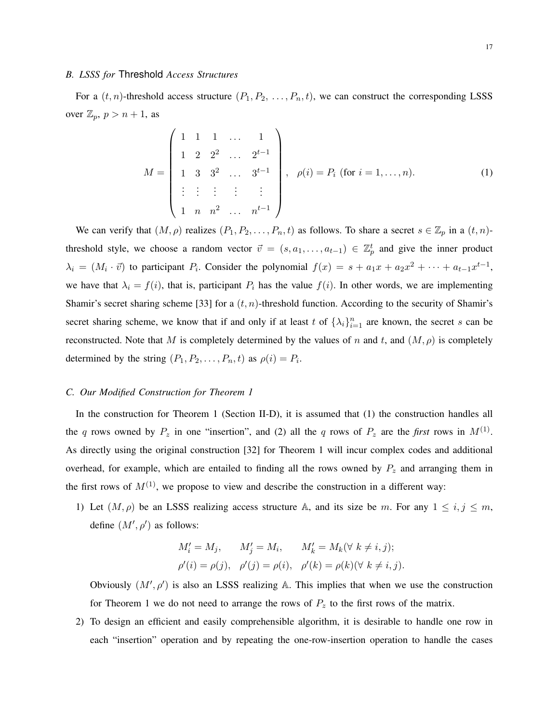## *B. LSSS for* Threshold *Access Structures*

For a  $(t, n)$ -threshold access structure  $(P_1, P_2, \ldots, P_n, t)$ , we can construct the corresponding LSSS over  $\mathbb{Z}_p$ ,  $p > n + 1$ , as

$$
M = \begin{pmatrix} 1 & 1 & 1 & \dots & 1 \\ 1 & 2 & 2^2 & \dots & 2^{t-1} \\ 1 & 3 & 3^2 & \dots & 3^{t-1} \\ \vdots & \vdots & \vdots & \vdots & \vdots \\ 1 & n & n^2 & \dots & n^{t-1} \end{pmatrix}, \ \rho(i) = P_i \text{ (for } i = 1, \dots, n).
$$
 (1)

We can verify that  $(M, \rho)$  realizes  $(P_1, P_2, \ldots, P_n, t)$  as follows. To share a secret  $s \in \mathbb{Z}_p$  in a  $(t, n)$ threshold style, we choose a random vector  $\vec{v} = (s, a_1, \dots, a_{t-1}) \in \mathbb{Z}_p^t$  and give the inner product  $\lambda_i = (M_i \cdot \vec{v})$  to participant  $P_i$ . Consider the polynomial  $f(x) = s + a_1x + a_2x^2 + \cdots + a_{t-1}x^{t-1}$ , we have that  $\lambda_i = f(i)$ , that is, participant  $P_i$  has the value  $f(i)$ . In other words, we are implementing Shamir's secret sharing scheme [33] for a  $(t, n)$ -threshold function. According to the security of Shamir's secret sharing scheme, we know that if and only if at least t of  $\{\lambda_i\}_{i=1}^n$  are known, the secret s can be reconstructed. Note that M is completely determined by the values of n and t, and  $(M, \rho)$  is completely determined by the string  $(P_1, P_2, \ldots, P_n, t)$  as  $\rho(i) = P_i$ .

## *C. Our Modified Construction for Theorem 1*

In the construction for Theorem 1 (Section II-D), it is assumed that (1) the construction handles all the q rows owned by  $P_z$  in one "insertion", and (2) all the q rows of  $P_z$  are the *first* rows in  $M^{(1)}$ . As directly using the original construction [32] for Theorem 1 will incur complex codes and additional overhead, for example, which are entailed to finding all the rows owned by  $P_z$  and arranging them in the first rows of  $M^{(1)}$ , we propose to view and describe the construction in a different way:

1) Let  $(M, \rho)$  be an LSSS realizing access structure A, and its size be m. For any  $1 \le i, j \le m$ , define  $(M', \rho')$  as follows:

$$
M'_i = M_j, \qquad M'_j = M_i, \qquad M'_k = M_k(\forall k \neq i, j);
$$
  

$$
\rho'(i) = \rho(j), \quad \rho'(j) = \rho(i), \quad \rho'(k) = \rho(k)(\forall k \neq i, j).
$$

Obviously  $(M', \rho')$  is also an LSSS realizing A. This implies that when we use the construction for Theorem 1 we do not need to arrange the rows of  $P_z$  to the first rows of the matrix.

2) To design an efficient and easily comprehensible algorithm, it is desirable to handle one row in each "insertion" operation and by repeating the one-row-insertion operation to handle the cases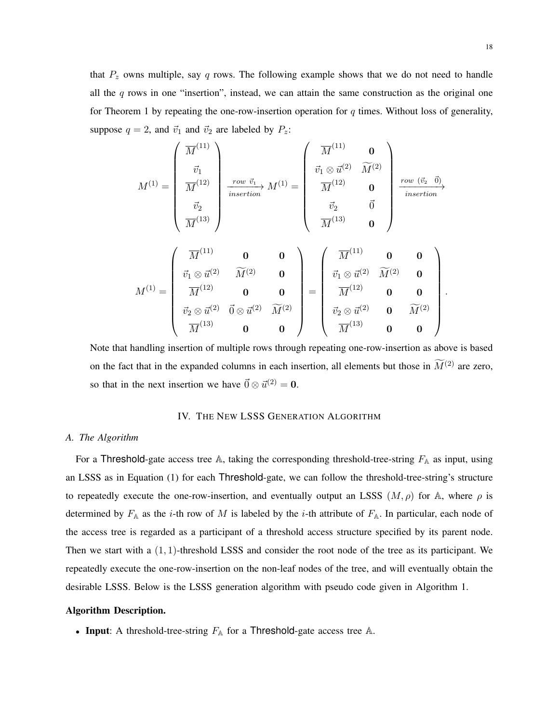$$
M^{(1)} = \begin{pmatrix} \overline{M}^{(11)} \\ \overline{v}_1 \\ \overline{M}^{(12)} \\ \overline{w}_2 \\ \overline{M}^{(13)} \end{pmatrix} \xrightarrow{\text{row } \vec{v}_1} M^{(1)} = \begin{pmatrix} \overline{M}^{(11)} & \mathbf{0} \\ \overline{v}_1 \otimes \overline{u}^{(2)} & \widetilde{M}^{(2)} \\ \overline{M}^{(12)} & \mathbf{0} \\ \overline{w}_2 & \overline{0} \\ \overline{M}^{(13)} & \mathbf{0} \end{pmatrix} \xrightarrow{\text{row } (\vec{v}_2 - \vec{0})}
$$
\n
$$
M^{(1)} = \begin{pmatrix} \overline{M}^{(11)} & \mathbf{0} & \mathbf{0} \\ \overline{v}_1 \otimes \overline{u}^{(2)} & \widetilde{M}^{(2)} & \mathbf{0} \\ \overline{M}^{(12)} & \mathbf{0} & \mathbf{0} \\ \overline{M}^{(12)} & \mathbf{0} & \mathbf{0} \\ \overline{v}_2 \otimes \overline{u}^{(2)} & \overline{0} \otimes \overline{u}^{(2)} & \widetilde{M}^{(2)} \\ \overline{M}^{(13)} & \mathbf{0} & \mathbf{0} \end{pmatrix} = \begin{pmatrix} \overline{M}^{(11)} & \mathbf{0} & \mathbf{0} \\ \overline{v}_1 \otimes \overline{u}^{(2)} & \widetilde{M}^{(2)} & \mathbf{0} \\ \overline{M}^{(12)} & \mathbf{0} & \mathbf{0} \\ \overline{v}_2 \otimes \overline{u}^{(2)} & \mathbf{0} & \widetilde{M}^{(2)} \\ \overline{M}^{(13)} & \mathbf{0} & \mathbf{0} \end{pmatrix}.
$$

Note that handling insertion of multiple rows through repeating one-row-insertion as above is based on the fact that in the expanded columns in each insertion, all elements but those in  $\widetilde{M}^{(2)}$  are zero, so that in the next insertion we have  $\vec{0} \otimes \vec{u}^{(2)} = 0$ .

# IV. THE NEW LSSS GENERATION ALGORITHM

# *A. The Algorithm*

For a Threshold-gate access tree A, taking the corresponding threshold-tree-string  $F_A$  as input, using an LSSS as in Equation (1) for each Threshold-gate, we can follow the threshold-tree-string's structure to repeatedly execute the one-row-insertion, and eventually output an LSSS  $(M, \rho)$  for A, where  $\rho$  is determined by  $F_A$  as the *i*-th row of M is labeled by the *i*-th attribute of  $F_A$ . In particular, each node of the access tree is regarded as a participant of a threshold access structure specified by its parent node. Then we start with a  $(1, 1)$ -threshold LSSS and consider the root node of the tree as its participant. We repeatedly execute the one-row-insertion on the non-leaf nodes of the tree, and will eventually obtain the desirable LSSS. Below is the LSSS generation algorithm with pseudo code given in Algorithm 1.

#### Algorithm Description.

• Input: A threshold-tree-string  $F_A$  for a Threshold-gate access tree A.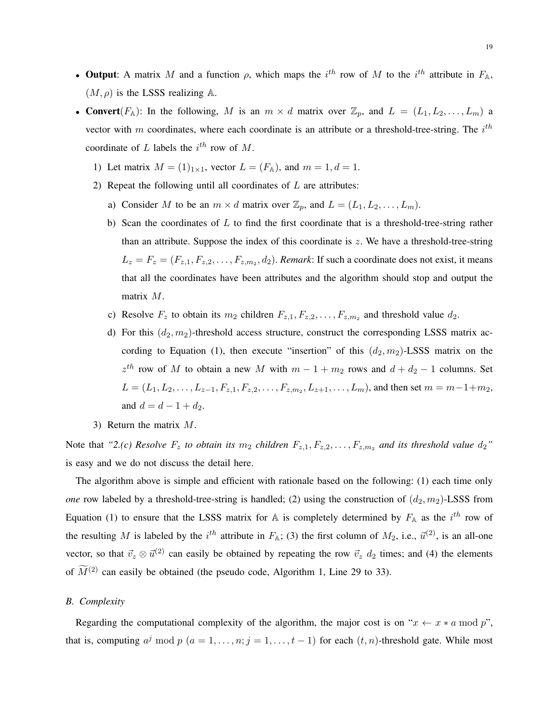- Output: A matrix M and a function  $\rho$ , which maps the i<sup>th</sup> row of M to the i<sup>th</sup> attribute in  $F_{\mathbb{A}}$ ,  $(M, \rho)$  is the LSSS realizing A.
- Convert( $F_A$ ): In the following, M is an  $m \times d$  matrix over  $\mathbb{Z}_p$ , and  $L = (L_1, L_2, \ldots, L_m)$  a vector with m coordinates, where each coordinate is an attribute or a threshold-tree-string. The  $i^{th}$ coordinate of L labels the  $i^{th}$  row of M.
	- 1) Let matrix  $M = (1)_{1 \times 1}$ , vector  $L = (F_A)$ , and  $m = 1, d = 1$ .
	- 2) Repeat the following until all coordinates of  $L$  are attributes:
		- a) Consider M to be an  $m \times d$  matrix over  $\mathbb{Z}_p$ , and  $L = (L_1, L_2, \ldots, L_m)$ .
		- b) Scan the coordinates of  $L$  to find the first coordinate that is a threshold-tree-string rather than an attribute. Suppose the index of this coordinate is  $z$ . We have a threshold-tree-string  $L_z = F_z = (F_{z,1}, F_{z,2}, \dots, F_{z,m_2}, d_2)$ . *Remark*: If such a coordinate does not exist, it means that all the coordinates have been attributes and the algorithm should stop and output the matrix M.
		- c) Resolve  $F_z$  to obtain its  $m_2$  children  $F_{z,1}, F_{z,2}, \ldots, F_{z,m_2}$  and threshold value  $d_2$ .
		- d) For this  $(d_2, m_2)$ -threshold access structure, construct the corresponding LSSS matrix according to Equation (1), then execute "insertion" of this  $(d_2, m_2)$ -LSSS matrix on the  $z^{th}$  row of M to obtain a new M with  $m - 1 + m_2$  rows and  $d + d_2 - 1$  columns. Set  $L = (L_1, L_2, \ldots, L_{z-1}, F_{z,1}, F_{z,2}, \ldots, F_{z,m_2}, L_{z+1}, \ldots, L_m)$ , and then set  $m = m-1+m_2$ , and  $d = d - 1 + d_2$ .
	- 3) Return the matrix M.

Note that "2.(c) Resolve  $F_z$  to obtain its  $m_2$  children  $F_{z,1}, F_{z,2}, \ldots, F_{z,m_2}$  and its threshold value  $d_2$ " is easy and we do not discuss the detail here.

The algorithm above is simple and efficient with rationale based on the following: (1) each time only *one* row labeled by a threshold-tree-string is handled; (2) using the construction of  $(d_2, m_2)$ -LSSS from Equation (1) to ensure that the LSSS matrix for A is completely determined by  $F_A$  as the  $i^{th}$  row of the resulting M is labeled by the i<sup>th</sup> attribute in  $F_{\mathbb{A}}$ ; (3) the first column of  $M_2$ , i.e.,  $\vec{u}^{(2)}$ , is an all-one vector, so that  $\vec{v}_z \otimes \vec{u}^{(2)}$  can easily be obtained by repeating the row  $\vec{v}_z$  d<sub>2</sub> times; and (4) the elements of  $\widetilde{M}^{(2)}$  can easily be obtained (the pseudo code, Algorithm 1, Line 29 to 33).

## *B. Complexity*

Regarding the computational complexity of the algorithm, the major cost is on " $x \leftarrow x * a \mod p$ ", that is, computing  $a^j \bmod p$   $(a = 1, \ldots, n; j = 1, \ldots, t-1)$  for each  $(t, n)$ -threshold gate. While most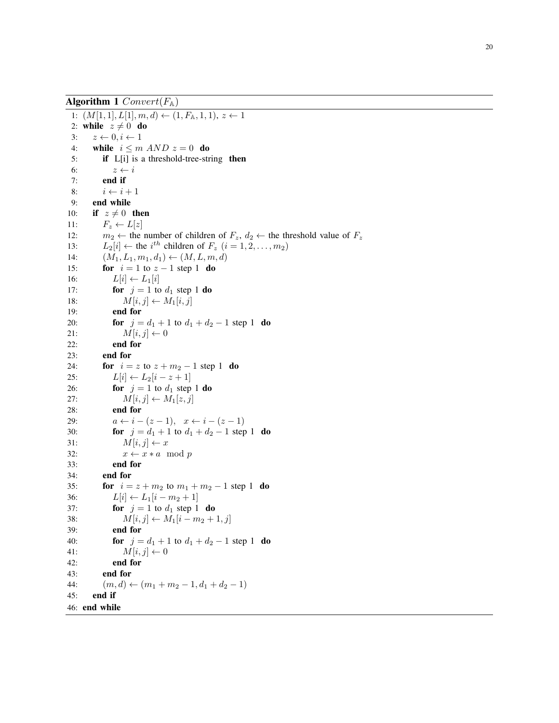Algorithm 1  $Convert(F_{\mathbb{A}})$ 1:  $(M[1, 1], L[1], m, d) \leftarrow (1, F_{\mathbb{A}}, 1, 1), z \leftarrow 1$ 2: while  $z \neq 0$  do 3:  $z \leftarrow 0, i \leftarrow 1$ 4: while  $i \leq m$   $AND$   $z = 0$  do 5: if L[i] is a threshold-tree-string then 6:  $z \leftarrow i$ 7: end if 8:  $i \leftarrow i + 1$ 9: end while 10: if  $z \neq 0$  then 11:  $F_z \leftarrow L[z]$ 12:  $m_2 \leftarrow$  the number of children of  $F_z$ ,  $d_2 \leftarrow$  the threshold value of  $F_z$ 13:  $L_2[i] \leftarrow$  the  $i^{th}$  children of  $F_z$   $(i = 1, 2, \dots, m_2)$ 14:  $(M_1, L_1, m_1, d_1) \leftarrow (M, L, m, d)$ 15: **for**  $i = 1$  to  $z - 1$  step 1 **do** 16:  $L[i] \leftarrow L_1[i]$ 17: **for**  $j = 1$  to  $d_1$  step 1 **do** 18:  $M[i, j] \leftarrow M_1[i, j]$ 19: end for 20: **for**  $j = d_1 + 1$  to  $d_1 + d_2 - 1$  step 1 **do** 21:  $M[i, j] \leftarrow 0$ 22: end for 23: end for 24: **for**  $i = z$  to  $z + m_2 - 1$  step 1 **do** 25:  $L[i] \leftarrow L_2[i - z + 1]$ 26: **for**  $j = 1$  to  $d_1$  step 1 **do** 27:  $M[i, j] \leftarrow M_1[z, j]$ 28: end for 29:  $a \leftarrow i - (z - 1), \quad x \leftarrow i - (z - 1)$ 30: **for**  $j = d_1 + 1$  to  $d_1 + d_2 - 1$  step 1 **do** 31:  $M[i, j] \leftarrow x$ 32:  $x \leftarrow x * a \mod p$ 33: end for 34: end for 35: **for**  $i = z + m_2$  to  $m_1 + m_2 - 1$  step 1 **do** 36:  $L[i] \leftarrow L_1[i - m_2 + 1]$ 37: **for**  $j = 1$  to  $d_1$  step 1 **do** 38:  $M[i, j] \leftarrow M_1[i - m_2 + 1, j]$ 39: end for 40: **for**  $j = d_1 + 1$  to  $d_1 + d_2 - 1$  step 1 **do** 41:  $M[i, j] \leftarrow 0$ 42: end for 43: end for 44:  $(m, d) \leftarrow (m_1 + m_2 - 1, d_1 + d_2 - 1)$ 45: end if 46: end while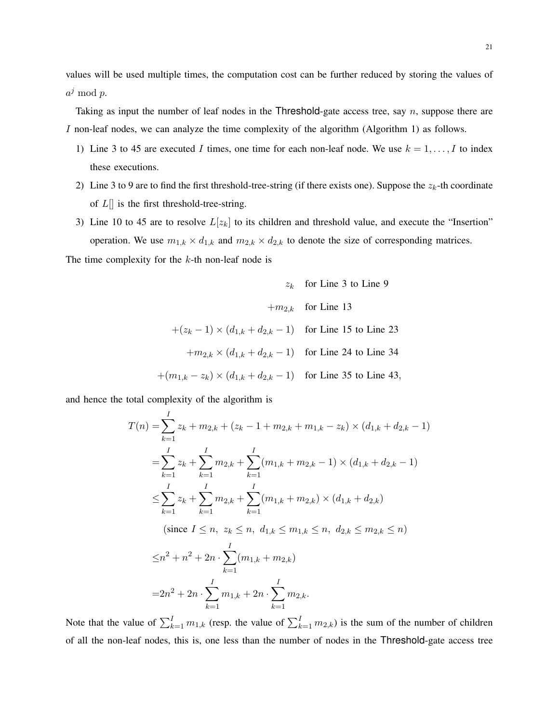values will be used multiple times, the computation cost can be further reduced by storing the values of  $a^j \bmod p$ .

Taking as input the number of leaf nodes in the Threshold-gate access tree, say  $n$ , suppose there are I non-leaf nodes, we can analyze the time complexity of the algorithm (Algorithm 1) as follows.

- 1) Line 3 to 45 are executed I times, one time for each non-leaf node. We use  $k = 1, \ldots, I$  to index these executions.
- 2) Line 3 to 9 are to find the first threshold-tree-string (if there exists one). Suppose the  $z_k$ -th coordinate of  $L$ [] is the first threshold-tree-string.
- 3) Line 10 to 45 are to resolve  $L[z_k]$  to its children and threshold value, and execute the "Insertion" operation. We use  $m_{1,k} \times d_{1,k}$  and  $m_{2,k} \times d_{2,k}$  to denote the size of corresponding matrices.

The time complexity for the  $k$ -th non-leaf node is

$$
z_k \quad \text{for Line 3 to Line 9}
$$
\n
$$
+m_{2,k} \quad \text{for Line 13}
$$
\n
$$
+(z_k - 1) \times (d_{1,k} + d_{2,k} - 1) \quad \text{for Line 15 to Line 23}
$$
\n
$$
+m_{2,k} \times (d_{1,k} + d_{2,k} - 1) \quad \text{for Line 24 to Line 34}
$$
\n
$$
+(m_{1,k} - z_k) \times (d_{1,k} + d_{2,k} - 1) \quad \text{for Line 35 to Line 43,}
$$

and hence the total complexity of the algorithm is

$$
T(n) = \sum_{k=1}^{I} z_k + m_{2,k} + (z_k - 1 + m_{2,k} + m_{1,k} - z_k) \times (d_{1,k} + d_{2,k} - 1)
$$
  
\n
$$
= \sum_{k=1}^{I} z_k + \sum_{k=1}^{I} m_{2,k} + \sum_{k=1}^{I} (m_{1,k} + m_{2,k} - 1) \times (d_{1,k} + d_{2,k} - 1)
$$
  
\n
$$
\leq \sum_{k=1}^{I} z_k + \sum_{k=1}^{I} m_{2,k} + \sum_{k=1}^{I} (m_{1,k} + m_{2,k}) \times (d_{1,k} + d_{2,k})
$$
  
\n(since  $I \leq n, z_k \leq n, d_{1,k} \leq m_{1,k} \leq n, d_{2,k} \leq m_{2,k} \leq n)$   
\n
$$
\leq n^2 + n^2 + 2n \cdot \sum_{k=1}^{I} (m_{1,k} + m_{2,k})
$$
  
\n
$$
= 2n^2 + 2n \cdot \sum_{k=1}^{I} m_{1,k} + 2n \cdot \sum_{k=1}^{I} m_{2,k}.
$$

Note that the value of  $\sum_{k=1}^{I} m_{1,k}$  (resp. the value of  $\sum_{k=1}^{I} m_{2,k}$ ) is the sum of the number of children of all the non-leaf nodes, this is, one less than the number of nodes in the Threshold-gate access tree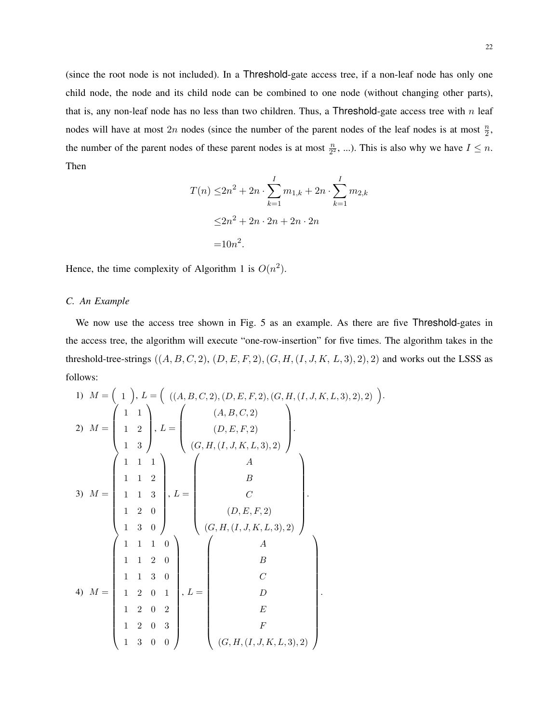(since the root node is not included). In a Threshold-gate access tree, if a non-leaf node has only one child node, the node and its child node can be combined to one node (without changing other parts), that is, any non-leaf node has no less than two children. Thus, a Threshold-gate access tree with  $n$  leaf nodes will have at most  $2n$  nodes (since the number of the parent nodes of the leaf nodes is at most  $\frac{n}{2}$ , the number of the parent nodes of these parent nodes is at most  $\frac{n}{2^2}$ , ...). This is also why we have  $I \leq n$ . Then

$$
T(n) \le 2n^2 + 2n \cdot \sum_{k=1}^{I} m_{1,k} + 2n \cdot \sum_{k=1}^{I} m_{2,k}
$$
  

$$
\le 2n^2 + 2n \cdot 2n + 2n \cdot 2n
$$
  

$$
= 10n^2.
$$

Hence, the time complexity of Algorithm 1 is  $O(n^2)$ .

# *C. An Example*

We now use the access tree shown in Fig. 5 as an example. As there are five Threshold-gates in the access tree, the algorithm will execute "one-row-insertion" for five times. The algorithm takes in the threshold-tree-strings  $((A, B, C, 2), (D, E, F, 2), (G, H, (I, J, K, L, 3), 2), 2)$  and works out the LSSS as follows:

.

1) 
$$
M = \begin{pmatrix} 1 \\ 1 \end{pmatrix}, L = \begin{pmatrix} ((A, B, C, 2), (D, E, F, 2), (G, H, (I, J, K, L, 3), 2), 2) \\ 1 & 1 & 2 \\ 1 & 2 & 2 \end{pmatrix}, L = \begin{pmatrix} (A, B, C, 2) \\ (D, E, F, 2) \\ (G, H, (I, J, K, L, 3), 2) \end{pmatrix}
$$
  
\n3)  $M = \begin{pmatrix} 1 & 1 & 1 \\ 1 & 1 & 2 \\ 1 & 1 & 3 \\ 1 & 2 & 0 \\ 1 & 3 & 0 \end{pmatrix}, L = \begin{pmatrix} A \\ B \\ C \\ (G, H, (I, J, K, L, 3), 2) \end{pmatrix}$   
\n4)  $M = \begin{pmatrix} 1 & 1 & 1 & 0 \\ 1 & 1 & 2 & 0 \\ 1 & 1 & 2 & 0 \\ 1 & 2 & 0 & 1 \\ 1 & 2 & 0 & 2 \\ 1 & 2 & 0 & 3 \\ 1 & 3 & 0 & 0 \end{pmatrix}, L = \begin{pmatrix} A \\ B \\ C \\ C \\ C \\ E \\ E \\ (G, H, (I, J, K, L, 3), 2) \end{pmatrix}$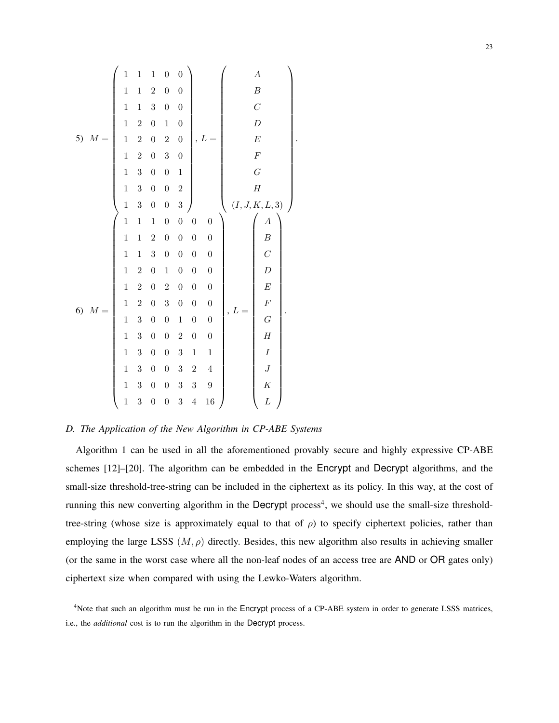5) M = 1 1 1 0 0 1 1 2 0 0 1 1 3 0 0 1 2 0 1 0 1 2 0 2 0 1 2 0 3 0 1 3 0 0 1 1 3 0 0 2 1 3 0 0 3 , L = A B C D E F G H (I, J, K, L, 3) . 6) M = 1 1 1 0 0 0 0 1 1 2 0 0 0 0 1 1 3 0 0 0 0 1 2 0 1 0 0 0 1 2 0 2 0 0 0 1 2 0 3 0 0 0 1 3 0 0 1 0 0 1 3 0 0 2 0 0 1 3 0 0 3 1 1 1 3 0 0 3 2 4 1 3 0 0 3 3 9 1 3 0 0 3 4 16 , L = A B C D E F G H I J K L .

## *D. The Application of the New Algorithm in CP-ABE Systems*

Algorithm 1 can be used in all the aforementioned provably secure and highly expressive CP-ABE schemes [12]–[20]. The algorithm can be embedded in the Encrypt and Decrypt algorithms, and the small-size threshold-tree-string can be included in the ciphertext as its policy. In this way, at the cost of running this new converting algorithm in the Decrypt process<sup>4</sup>, we should use the small-size thresholdtree-string (whose size is approximately equal to that of  $\rho$ ) to specify ciphertext policies, rather than employing the large LSSS  $(M, \rho)$  directly. Besides, this new algorithm also results in achieving smaller (or the same in the worst case where all the non-leaf nodes of an access tree are AND or OR gates only) ciphertext size when compared with using the Lewko-Waters algorithm.

<sup>4</sup>Note that such an algorithm must be run in the Encrypt process of a CP-ABE system in order to generate LSSS matrices, i.e., the *additional* cost is to run the algorithm in the Decrypt process.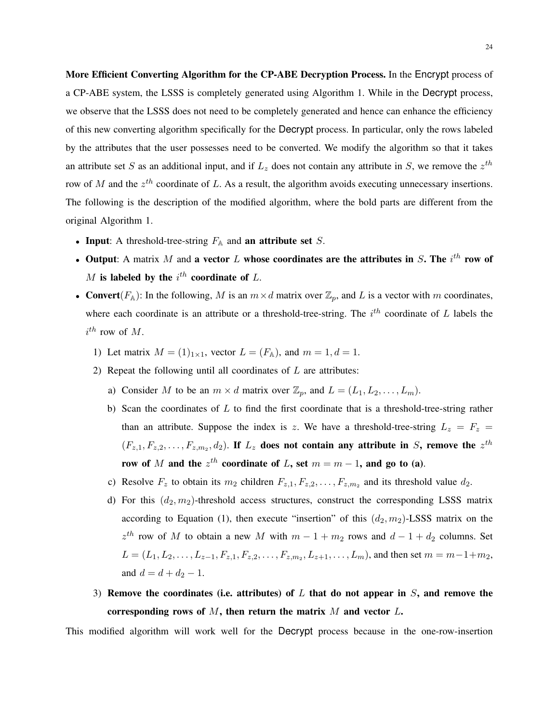More Efficient Converting Algorithm for the CP-ABE Decryption Process. In the Encrypt process of a CP-ABE system, the LSSS is completely generated using Algorithm 1. While in the Decrypt process, we observe that the LSSS does not need to be completely generated and hence can enhance the efficiency of this new converting algorithm specifically for the Decrypt process. In particular, only the rows labeled by the attributes that the user possesses need to be converted. We modify the algorithm so that it takes an attribute set S as an additional input, and if  $L_z$  does not contain any attribute in S, we remove the  $z^{th}$ row of M and the  $z^{th}$  coordinate of L. As a result, the algorithm avoids executing unnecessary insertions. The following is the description of the modified algorithm, where the bold parts are different from the original Algorithm 1.

- Input: A threshold-tree-string  $F_A$  and an attribute set S.
- Output: A matrix M and a vector L whose coordinates are the attributes in S. The  $i^{th}$  row of  $M$  is labeled by the  $i^{th}$  coordinate of  $L$ .
- Convert( $F_A$ ): In the following, M is an  $m \times d$  matrix over  $\mathbb{Z}_p$ , and L is a vector with m coordinates, where each coordinate is an attribute or a threshold-tree-string. The  $i^{th}$  coordinate of L labels the  $i^{th}$  row of M.
	- 1) Let matrix  $M = (1)_{1 \times 1}$ , vector  $L = (F_A)$ , and  $m = 1, d = 1$ .
	- 2) Repeat the following until all coordinates of  $L$  are attributes:
		- a) Consider M to be an  $m \times d$  matrix over  $\mathbb{Z}_p$ , and  $L = (L_1, L_2, \ldots, L_m)$ .
		- b) Scan the coordinates of  $L$  to find the first coordinate that is a threshold-tree-string rather than an attribute. Suppose the index is z. We have a threshold-tree-string  $L_z = F_z$  $(F_{z,1}, F_{z,2}, \ldots, F_{z,m_2}, d_2)$ . If  $L_z$  does not contain any attribute in S, remove the  $z^{th}$ row of M and the  $z^{th}$  coordinate of L, set  $m = m - 1$ , and go to (a).
		- c) Resolve  $F_z$  to obtain its  $m_2$  children  $F_{z,1}, F_{z,2}, \ldots, F_{z,m_2}$  and its threshold value  $d_2$ .
		- d) For this  $(d_2, m_2)$ -threshold access structures, construct the corresponding LSSS matrix according to Equation (1), then execute "insertion" of this  $(d_2, m_2)$ -LSSS matrix on the  $z^{th}$  row of M to obtain a new M with  $m - 1 + m_2$  rows and  $d - 1 + d_2$  columns. Set  $L = (L_1, L_2, \ldots, L_{z-1}, F_{z,1}, F_{z,2}, \ldots, F_{z,m_2}, L_{z+1}, \ldots, L_m)$ , and then set  $m = m-1+m_2$ , and  $d = d + d_2 - 1$ .
	- 3) Remove the coordinates (i.e. attributes) of  $L$  that do not appear in  $S$ , and remove the corresponding rows of  $M$ , then return the matrix  $M$  and vector  $L$ .

This modified algorithm will work well for the Decrypt process because in the one-row-insertion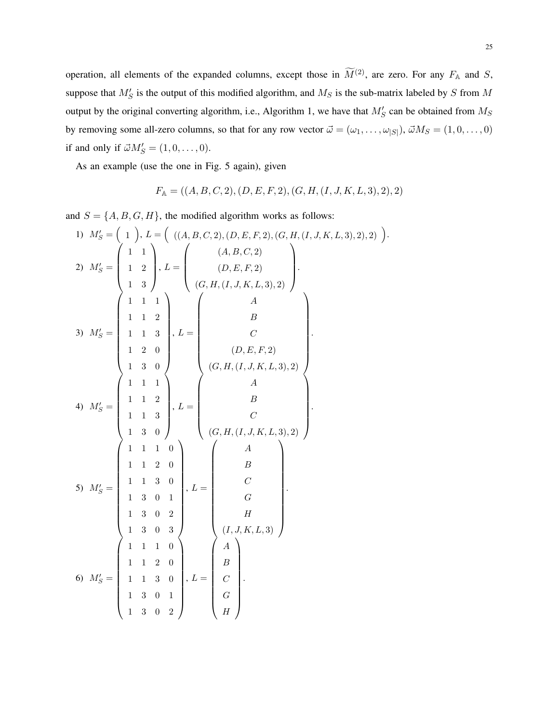operation, all elements of the expanded columns, except those in  $\widetilde{M}^{(2)}$ , are zero. For any  $F_{\mathbb{A}}$  and S, suppose that  $M'_S$  is the output of this modified algorithm, and  $M_S$  is the sub-matrix labeled by S from M output by the original converting algorithm, i.e., Algorithm 1, we have that  $M'_{S}$  can be obtained from  $M_{S}$ by removing some all-zero columns, so that for any row vector  $\vec{\omega} = (\omega_1, \dots, \omega_{|S|}), \vec{\omega}M_S = (1, 0, \dots, 0)$ if and only if  $\vec{\omega}M_S' = (1, 0, \dots, 0)$ .

As an example (use the one in Fig. 5 again), given

$$
F_{\mathbb{A}} = ((A, B, C, 2), (D, E, F, 2), (G, H, (I, J, K, L, 3), 2), 2)
$$

and  $S = \{A, B, G, H\}$ , the modified algorithm works as follows:

1) 
$$
M'_{S} = \begin{pmatrix} 1 \end{pmatrix}, L = \begin{pmatrix} ((A, B, C, 2), (D, E, F, 2), (G, H, (I, J, K, L, 3), 2), 2) \end{pmatrix}
$$
  
\n2)  $M'_{S} = \begin{pmatrix} 1 & 1 \ 1 & 2 \ 1 & 3 \end{pmatrix}, L = \begin{pmatrix} (A, B, C, 2) \ (D, E, F, 2) \ (G, H, (I, J, K, L, 3), 2) \end{pmatrix}$   
\n3)  $M'_{S} = \begin{pmatrix} 1 & 1 & 1 \ 1 & 1 & 2 \ 1 & 1 & 3 \ 1 & 3 & 0 \end{pmatrix}, L = \begin{pmatrix} A \ B \ C \ C \ C, H, (I, J, K, L, 3), 2) \end{pmatrix}$   
\n4)  $M'_{S} = \begin{pmatrix} 1 & 1 & 1 \ 1 & 1 & 2 \ 1 & 1 & 3 \ 1 & 1 & 3 \end{pmatrix}, L = \begin{pmatrix} A \ B \ C \ G, H, (I, J, K, L, 3), 2) \end{pmatrix}$   
\n5)  $M'_{S} = \begin{pmatrix} 1 & 1 & 1 & 0 \ 1 & 1 & 2 & 0 \ 1 & 1 & 3 & 0 \ 1 & 3 & 0 & 1 \ 1 & 3 & 0 & 1 \end{pmatrix}, L = \begin{pmatrix} A \ B \ C \ G, H, (I, J, K, L, 3), 2) \end{pmatrix}$   
\n6)  $M'_{S} = \begin{pmatrix} 1 & 1 & 1 & 0 \ 1 & 1 & 2 & 0 \ 1 & 1 & 3 & 0 \ 1 & 1 & 3 & 0 \ 1 & 1 & 3 & 0 \ 1 & 1 & 3 & 0 \ 1 & 1 & 3 & 0 \ 1 & 1 & 3 & 0 \ 1 & 1 & 3 & 0 \ 1 & 1 & 3 & 0 \end{pmatrix}, L = \begin{pmatrix} A \ B \ C \ C \ D \end{pmatrix}$ .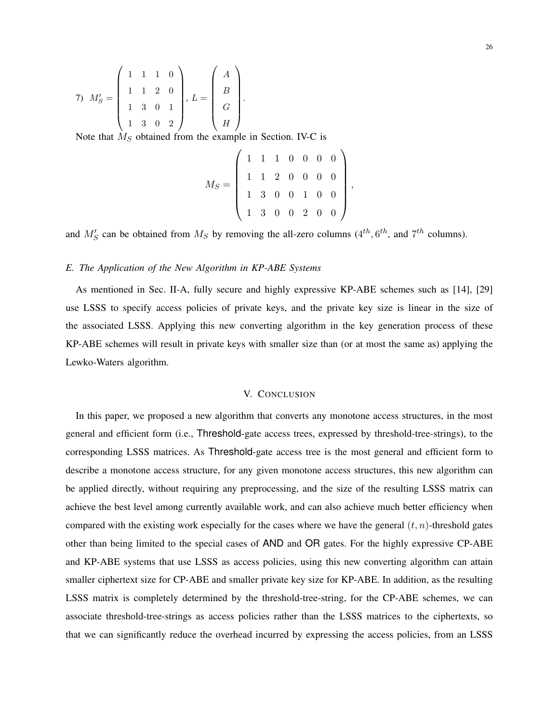7) 
$$
M'_S = \begin{pmatrix} 1 & 1 & 1 & 0 \\ 1 & 1 & 2 & 0 \\ 1 & 3 & 0 & 1 \\ 1 & 3 & 0 & 2 \end{pmatrix}, L = \begin{pmatrix} A \\ B \\ G \\ H \end{pmatrix}.
$$

Note that  $M<sub>S</sub>$  obtained from the example in Section. IV-C is

$$
M_S = \left(\begin{array}{cccccc} 1 & 1 & 1 & 0 & 0 & 0 & 0 \\ 1 & 1 & 2 & 0 & 0 & 0 & 0 \\ 1 & 3 & 0 & 0 & 1 & 0 & 0 \\ 1 & 3 & 0 & 0 & 2 & 0 & 0 \end{array}\right),
$$

and  $M'_S$  can be obtained from  $M_S$  by removing the all-zero columns ( $4^{th}$ ,  $6^{th}$ , and  $7^{th}$  columns).

## *E. The Application of the New Algorithm in KP-ABE Systems*

As mentioned in Sec. II-A, fully secure and highly expressive KP-ABE schemes such as [14], [29] use LSSS to specify access policies of private keys, and the private key size is linear in the size of the associated LSSS. Applying this new converting algorithm in the key generation process of these KP-ABE schemes will result in private keys with smaller size than (or at most the same as) applying the Lewko-Waters algorithm.

#### V. CONCLUSION

In this paper, we proposed a new algorithm that converts any monotone access structures, in the most general and efficient form (i.e., Threshold-gate access trees, expressed by threshold-tree-strings), to the corresponding LSSS matrices. As Threshold-gate access tree is the most general and efficient form to describe a monotone access structure, for any given monotone access structures, this new algorithm can be applied directly, without requiring any preprocessing, and the size of the resulting LSSS matrix can achieve the best level among currently available work, and can also achieve much better efficiency when compared with the existing work especially for the cases where we have the general  $(t, n)$ -threshold gates other than being limited to the special cases of AND and OR gates. For the highly expressive CP-ABE and KP-ABE systems that use LSSS as access policies, using this new converting algorithm can attain smaller ciphertext size for CP-ABE and smaller private key size for KP-ABE. In addition, as the resulting LSSS matrix is completely determined by the threshold-tree-string, for the CP-ABE schemes, we can associate threshold-tree-strings as access policies rather than the LSSS matrices to the ciphertexts, so that we can significantly reduce the overhead incurred by expressing the access policies, from an LSSS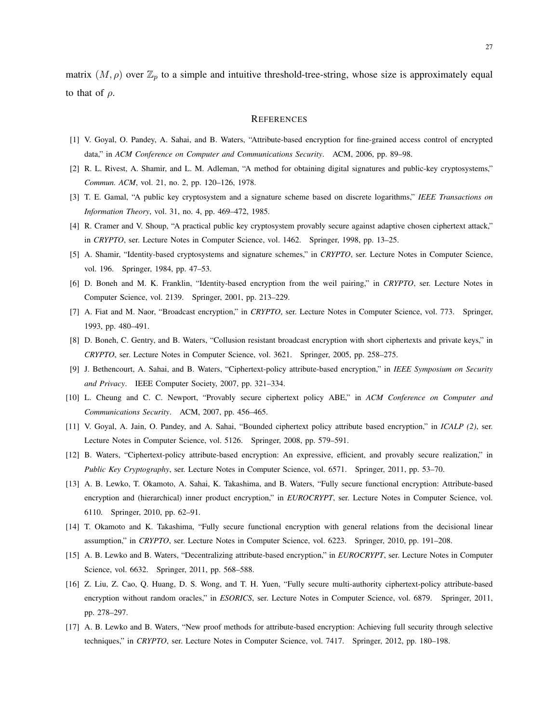matrix  $(M, \rho)$  over  $\mathbb{Z}_p$  to a simple and intuitive threshold-tree-string, whose size is approximately equal to that of  $\rho$ .

#### **REFERENCES**

- [1] V. Goyal, O. Pandey, A. Sahai, and B. Waters, "Attribute-based encryption for fine-grained access control of encrypted data," in *ACM Conference on Computer and Communications Security*. ACM, 2006, pp. 89–98.
- [2] R. L. Rivest, A. Shamir, and L. M. Adleman, "A method for obtaining digital signatures and public-key cryptosystems," *Commun. ACM*, vol. 21, no. 2, pp. 120–126, 1978.
- [3] T. E. Gamal, "A public key cryptosystem and a signature scheme based on discrete logarithms," *IEEE Transactions on Information Theory*, vol. 31, no. 4, pp. 469–472, 1985.
- [4] R. Cramer and V. Shoup, "A practical public key cryptosystem provably secure against adaptive chosen ciphertext attack," in *CRYPTO*, ser. Lecture Notes in Computer Science, vol. 1462. Springer, 1998, pp. 13–25.
- [5] A. Shamir, "Identity-based cryptosystems and signature schemes," in *CRYPTO*, ser. Lecture Notes in Computer Science, vol. 196. Springer, 1984, pp. 47–53.
- [6] D. Boneh and M. K. Franklin, "Identity-based encryption from the weil pairing," in *CRYPTO*, ser. Lecture Notes in Computer Science, vol. 2139. Springer, 2001, pp. 213–229.
- [7] A. Fiat and M. Naor, "Broadcast encryption," in *CRYPTO*, ser. Lecture Notes in Computer Science, vol. 773. Springer, 1993, pp. 480–491.
- [8] D. Boneh, C. Gentry, and B. Waters, "Collusion resistant broadcast encryption with short ciphertexts and private keys," in *CRYPTO*, ser. Lecture Notes in Computer Science, vol. 3621. Springer, 2005, pp. 258–275.
- [9] J. Bethencourt, A. Sahai, and B. Waters, "Ciphertext-policy attribute-based encryption," in *IEEE Symposium on Security and Privacy*. IEEE Computer Society, 2007, pp. 321–334.
- [10] L. Cheung and C. C. Newport, "Provably secure ciphertext policy ABE," in *ACM Conference on Computer and Communications Security*. ACM, 2007, pp. 456–465.
- [11] V. Goyal, A. Jain, O. Pandey, and A. Sahai, "Bounded ciphertext policy attribute based encryption," in *ICALP (2)*, ser. Lecture Notes in Computer Science, vol. 5126. Springer, 2008, pp. 579–591.
- [12] B. Waters, "Ciphertext-policy attribute-based encryption: An expressive, efficient, and provably secure realization," in *Public Key Cryptography*, ser. Lecture Notes in Computer Science, vol. 6571. Springer, 2011, pp. 53–70.
- [13] A. B. Lewko, T. Okamoto, A. Sahai, K. Takashima, and B. Waters, "Fully secure functional encryption: Attribute-based encryption and (hierarchical) inner product encryption," in *EUROCRYPT*, ser. Lecture Notes in Computer Science, vol. 6110. Springer, 2010, pp. 62–91.
- [14] T. Okamoto and K. Takashima, "Fully secure functional encryption with general relations from the decisional linear assumption," in *CRYPTO*, ser. Lecture Notes in Computer Science, vol. 6223. Springer, 2010, pp. 191–208.
- [15] A. B. Lewko and B. Waters, "Decentralizing attribute-based encryption," in *EUROCRYPT*, ser. Lecture Notes in Computer Science, vol. 6632. Springer, 2011, pp. 568–588.
- [16] Z. Liu, Z. Cao, Q. Huang, D. S. Wong, and T. H. Yuen, "Fully secure multi-authority ciphertext-policy attribute-based encryption without random oracles," in *ESORICS*, ser. Lecture Notes in Computer Science, vol. 6879. Springer, 2011, pp. 278–297.
- [17] A. B. Lewko and B. Waters, "New proof methods for attribute-based encryption: Achieving full security through selective techniques," in *CRYPTO*, ser. Lecture Notes in Computer Science, vol. 7417. Springer, 2012, pp. 180–198.